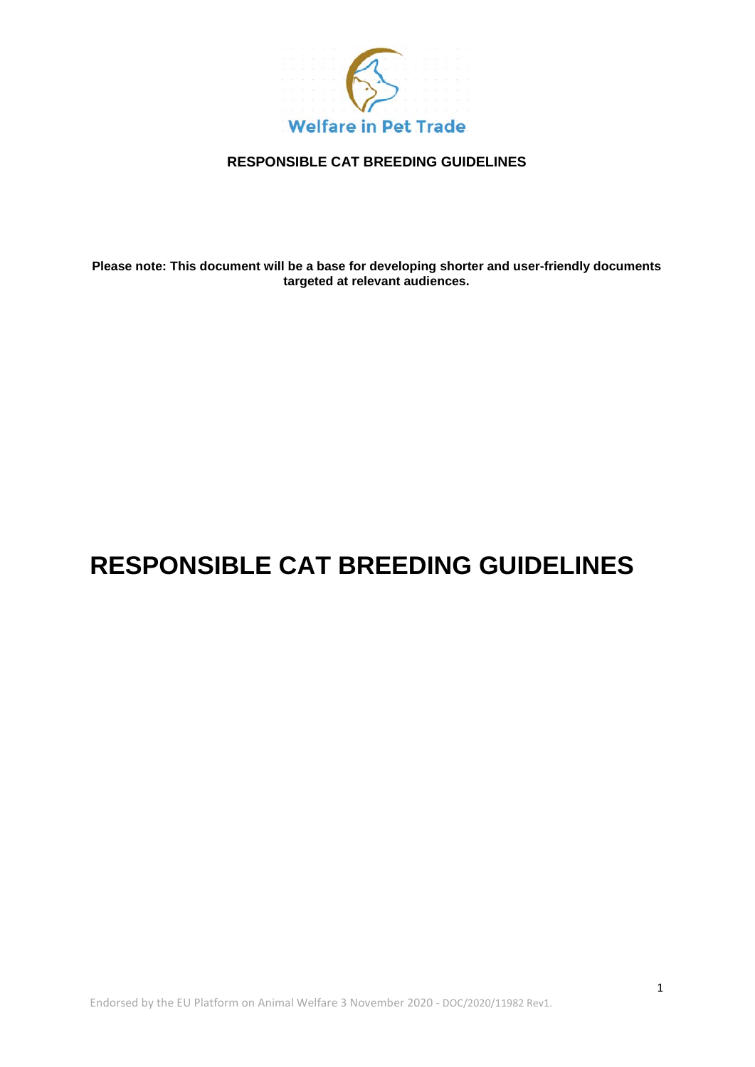

**Please note: This document will be a base for developing shorter and user-friendly documents targeted at relevant audiences.**

# **RESPONSIBLE CAT BREEDING GUIDELINES**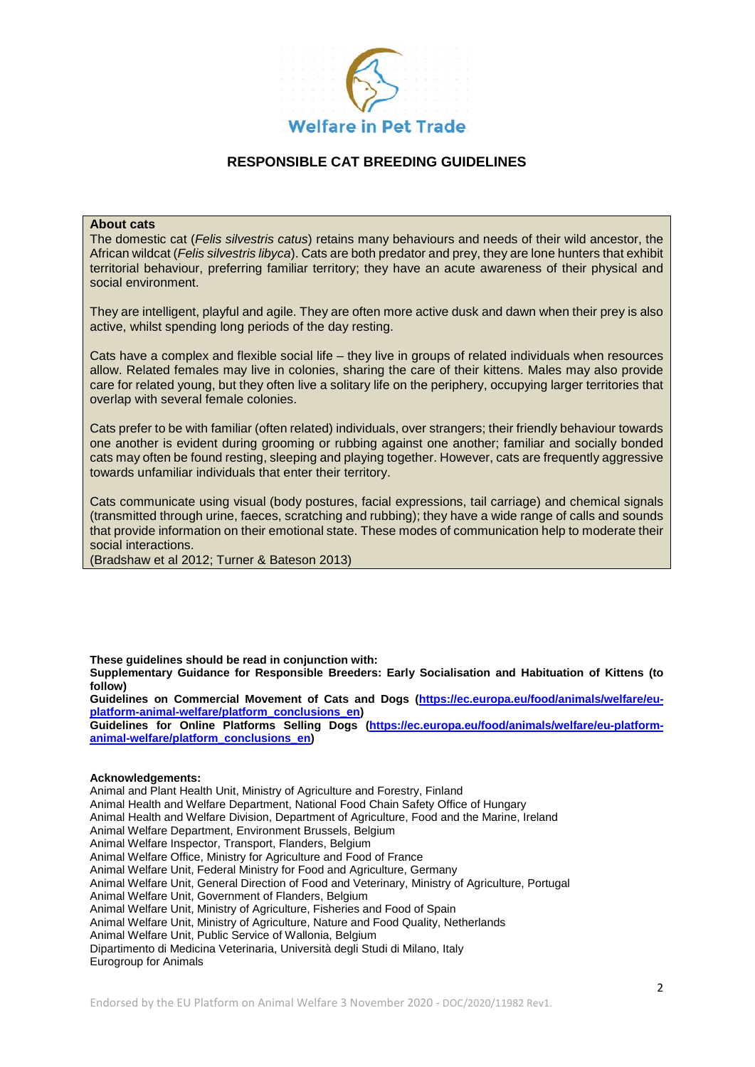

#### **About cats**

The domestic cat (*Felis silvestris catus*) retains many behaviours and needs of their wild ancestor, the African wildcat (*Felis silvestris libyca*). Cats are both predator and prey, they are lone hunters that exhibit territorial behaviour, preferring familiar territory; they have an acute awareness of their physical and social environment.

They are intelligent, playful and agile. They are often more active dusk and dawn when their prey is also active, whilst spending long periods of the day resting.

Cats have a complex and flexible social life – they live in groups of related individuals when resources allow. Related females may live in colonies, sharing the care of their kittens. Males may also provide care for related young, but they often live a solitary life on the periphery, occupying larger territories that overlap with several female colonies.

Cats prefer to be with familiar (often related) individuals, over strangers; their friendly behaviour towards one another is evident during grooming or rubbing against one another; familiar and socially bonded cats may often be found resting, sleeping and playing together. However, cats are frequently aggressive towards unfamiliar individuals that enter their territory.

Cats communicate using visual (body postures, facial expressions, tail carriage) and chemical signals (transmitted through urine, faeces, scratching and rubbing); they have a wide range of calls and sounds that provide information on their emotional state. These modes of communication help to moderate their social interactions.

(Bradshaw et al 2012; Turner & Bateson 2013)

**These guidelines should be read in conjunction with:**

**Supplementary Guidance for Responsible Breeders: Early Socialisation and Habituation of Kittens (to follow)**

**Guidelines on Commercial Movement of Cats and Dogs [\(https://ec.europa.eu/food/animals/welfare/eu](https://ec.europa.eu/food/animals/welfare/eu-platform-animal-welfare/platform_conclusions_en)[platform-animal-welfare/platform\\_conclusions\\_en\)](https://ec.europa.eu/food/animals/welfare/eu-platform-animal-welfare/platform_conclusions_en)**

**Guidelines for Online Platforms Selling Dogs [\(https://ec.europa.eu/food/animals/welfare/eu-platform](https://ec.europa.eu/food/animals/welfare/eu-platform-animal-welfare/platform_conclusions_en)[animal-welfare/platform\\_conclusions\\_en\)](https://ec.europa.eu/food/animals/welfare/eu-platform-animal-welfare/platform_conclusions_en)**

#### **Acknowledgements:**

Animal and Plant Health Unit, Ministry of Agriculture and Forestry, Finland Animal Health and Welfare Department, National Food Chain Safety Office of Hungary Animal Health and Welfare Division, Department of Agriculture, Food and the Marine, Ireland Animal Welfare Department, Environment Brussels, Belgium Animal Welfare Inspector, Transport, Flanders, Belgium Animal Welfare Office, Ministry for Agriculture and Food of France Animal Welfare Unit, Federal Ministry for Food and Agriculture, Germany Animal Welfare Unit, General Direction of Food and Veterinary, Ministry of Agriculture, Portugal Animal Welfare Unit, Government of Flanders, Belgium Animal Welfare Unit, Ministry of Agriculture, Fisheries and Food of Spain Animal Welfare Unit, Ministry of Agriculture, Nature and Food Quality, Netherlands Animal Welfare Unit, Public Service of Wallonia, Belgium Dipartimento di Medicina Veterinaria, Università degli Studi di Milano, Italy Eurogroup for Animals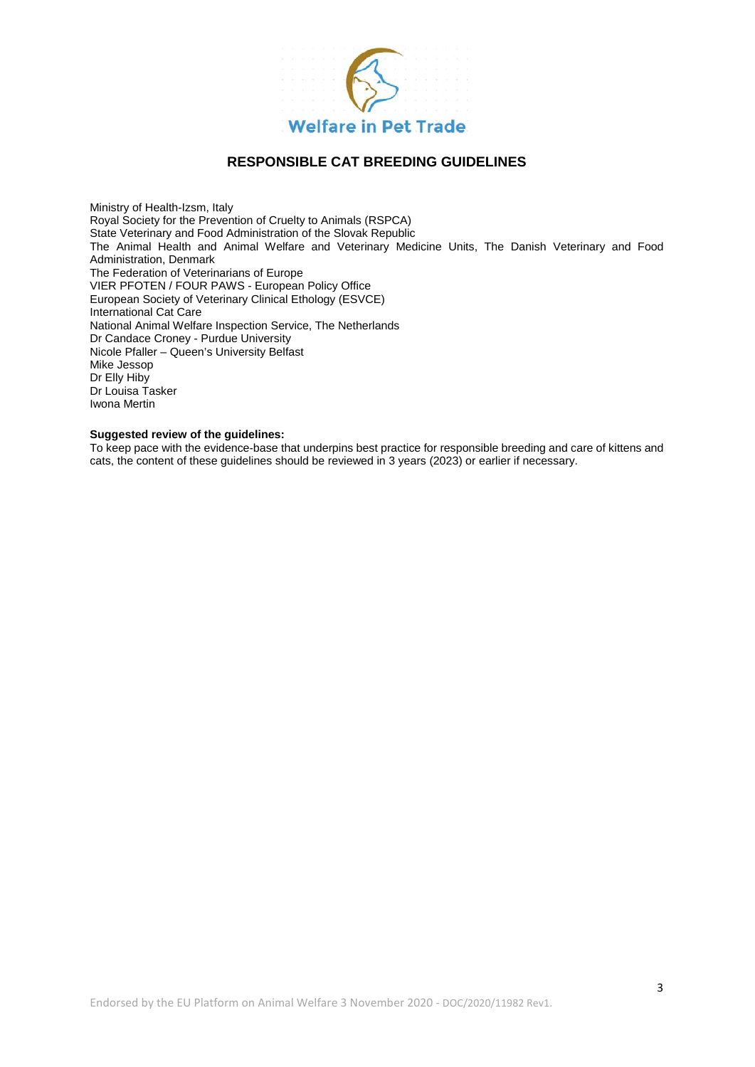

Ministry of Health-Izsm, Italy Royal Society for the Prevention of Cruelty to Animals (RSPCA) State Veterinary and Food Administration of the Slovak Republic The Animal Health and Animal Welfare and Veterinary Medicine Units, The Danish Veterinary and Food Administration, Denmark The Federation of Veterinarians of Europe VIER PFOTEN / FOUR PAWS - European Policy Office European Society of Veterinary Clinical Ethology (ESVCE) International Cat Care National Animal Welfare Inspection Service, The Netherlands Dr Candace Croney - Purdue University Nicole Pfaller – Queen's University Belfast Mike Jessop Dr Elly Hiby Dr Louisa Tasker Iwona Mertin

#### **Suggested review of the guidelines:**

To keep pace with the evidence-base that underpins best practice for responsible breeding and care of kittens and cats, the content of these guidelines should be reviewed in 3 years (2023) or earlier if necessary.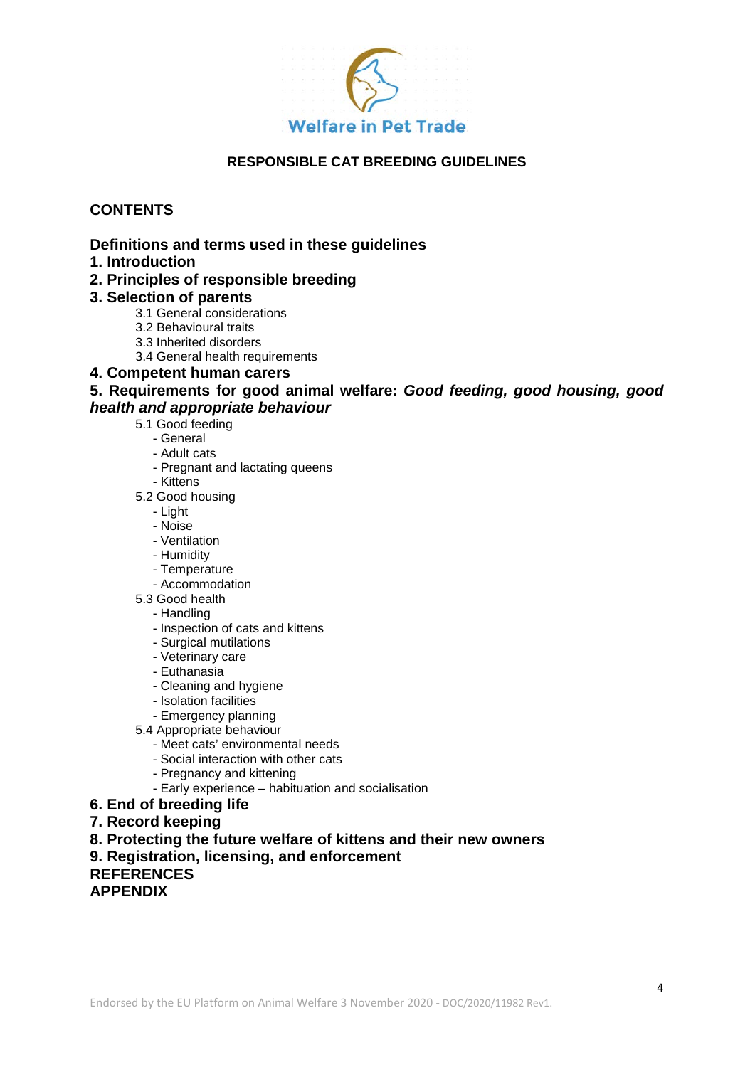

# **CONTENTS**

# **Definitions and terms used in these guidelines**

- **1. Introduction**
- **2. Principles of responsible breeding**

# **3. Selection of parents**

- 3.1 General considerations
- 3.2 Behavioural traits
- 3.3 Inherited disorders
- 3.4 General health requirements

### **4. Competent human carers**

**5. Requirements for good animal welfare:** *Good feeding, good housing, good health and appropriate behaviour*

- 5.1 Good feeding
	- General
	- Adult cats
	- Pregnant and lactating queens
	- Kittens
- 5.2 Good housing
	- Light
	- Noise
	- Ventilation
	- Humidity
	- Temperature
	- Accommodation
- 5.3 Good health
	- Handling
	- Inspection of cats and kittens
	- Surgical mutilations
	- Veterinary care
	- Euthanasia
	- Cleaning and hygiene
	- Isolation facilities
	- Emergency planning
- 5.4 Appropriate behaviour
	- Meet cats' environmental needs
	- Social interaction with other cats
	- Pregnancy and kittening
	- Early experience habituation and socialisation
- **6. End of breeding life**
- **7. Record keeping**
- **8. Protecting the future welfare of kittens and their new owners**
- **9. Registration, licensing, and enforcement**

**REFERENCES**

**APPENDIX**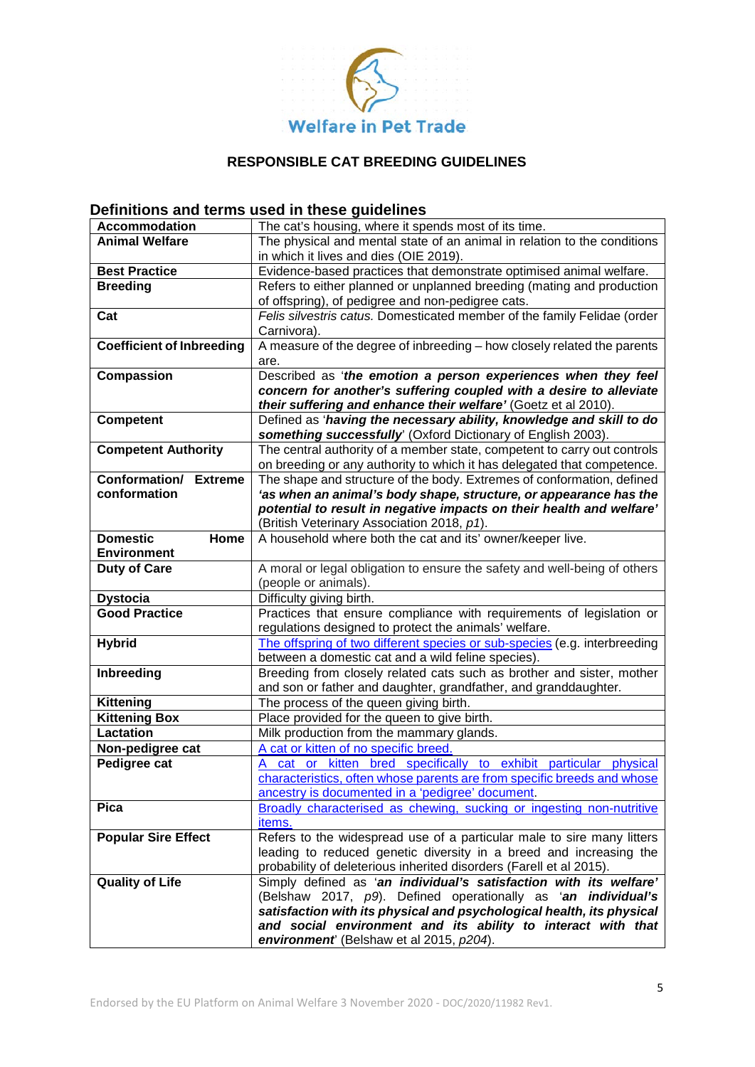

# **Definitions and terms used in these guidelines**

| <b>Accommodation</b>             | The cat's housing, where it spends most of its time.                      |  |  |
|----------------------------------|---------------------------------------------------------------------------|--|--|
| <b>Animal Welfare</b>            | The physical and mental state of an animal in relation to the conditions  |  |  |
|                                  | in which it lives and dies (OIE 2019).                                    |  |  |
| <b>Best Practice</b>             | Evidence-based practices that demonstrate optimised animal welfare.       |  |  |
| <b>Breeding</b>                  | Refers to either planned or unplanned breeding (mating and production     |  |  |
|                                  | of offspring), of pedigree and non-pedigree cats.                         |  |  |
| Cat                              | Felis silvestris catus. Domesticated member of the family Felidae (order  |  |  |
|                                  | Carnivora).                                                               |  |  |
| <b>Coefficient of Inbreeding</b> | A measure of the degree of inbreeding - how closely related the parents   |  |  |
|                                  | are.                                                                      |  |  |
| Compassion                       | Described as 'the emotion a person experiences when they feel             |  |  |
|                                  | concern for another's suffering coupled with a desire to alleviate        |  |  |
|                                  | their suffering and enhance their welfare' (Goetz et al 2010).            |  |  |
| <b>Competent</b>                 | Defined as 'having the necessary ability, knowledge and skill to do       |  |  |
|                                  | something successfully' (Oxford Dictionary of English 2003).              |  |  |
| <b>Competent Authority</b>       | The central authority of a member state, competent to carry out controls  |  |  |
|                                  | on breeding or any authority to which it has delegated that competence.   |  |  |
| Conformation/<br><b>Extreme</b>  | The shape and structure of the body. Extremes of conformation, defined    |  |  |
| conformation                     | 'as when an animal's body shape, structure, or appearance has the         |  |  |
|                                  | potential to result in negative impacts on their health and welfare'      |  |  |
|                                  | (British Veterinary Association 2018, p1).                                |  |  |
| <b>Domestic</b><br>Home          | A household where both the cat and its' owner/keeper live.                |  |  |
| <b>Environment</b>               |                                                                           |  |  |
| <b>Duty of Care</b>              | A moral or legal obligation to ensure the safety and well-being of others |  |  |
|                                  | (people or animals).                                                      |  |  |
| <b>Dystocia</b>                  | Difficulty giving birth.                                                  |  |  |
| <b>Good Practice</b>             | Practices that ensure compliance with requirements of legislation or      |  |  |
|                                  | regulations designed to protect the animals' welfare.                     |  |  |
| <b>Hybrid</b>                    | The offspring of two different species or sub-species (e.g. interbreeding |  |  |
|                                  | between a domestic cat and a wild feline species).                        |  |  |
| Inbreeding                       | Breeding from closely related cats such as brother and sister, mother     |  |  |
|                                  | and son or father and daughter, grandfather, and granddaughter.           |  |  |
| <b>Kittening</b>                 | The process of the queen giving birth.                                    |  |  |
| <b>Kittening Box</b>             | Place provided for the queen to give birth.                               |  |  |
| <b>Lactation</b>                 | Milk production from the mammary glands.                                  |  |  |
| Non-pedigree cat                 | A cat or kitten of no specific breed                                      |  |  |
| Pedigree cat                     | A cat or kitten bred specifically to exhibit particular physical          |  |  |
|                                  | characteristics, often whose parents are from specific breeds and whose   |  |  |
|                                  | ancestry is documented in a 'pedigree' document.                          |  |  |
| <b>Pica</b>                      | Broadly characterised as chewing, sucking or ingesting non-nutritive      |  |  |
|                                  | items.                                                                    |  |  |
| <b>Popular Sire Effect</b>       | Refers to the widespread use of a particular male to sire many litters    |  |  |
|                                  | leading to reduced genetic diversity in a breed and increasing the        |  |  |
|                                  | probability of deleterious inherited disorders (Farell et al 2015).       |  |  |
| <b>Quality of Life</b>           | Simply defined as 'an individual's satisfaction with its welfare'         |  |  |
|                                  | (Belshaw 2017, p9). Defined operationally as 'an individual's             |  |  |
|                                  | satisfaction with its physical and psychological health, its physical     |  |  |
|                                  | and social environment and its ability to interact with that              |  |  |
|                                  | environment <sup>'</sup> (Belshaw et al 2015, p204).                      |  |  |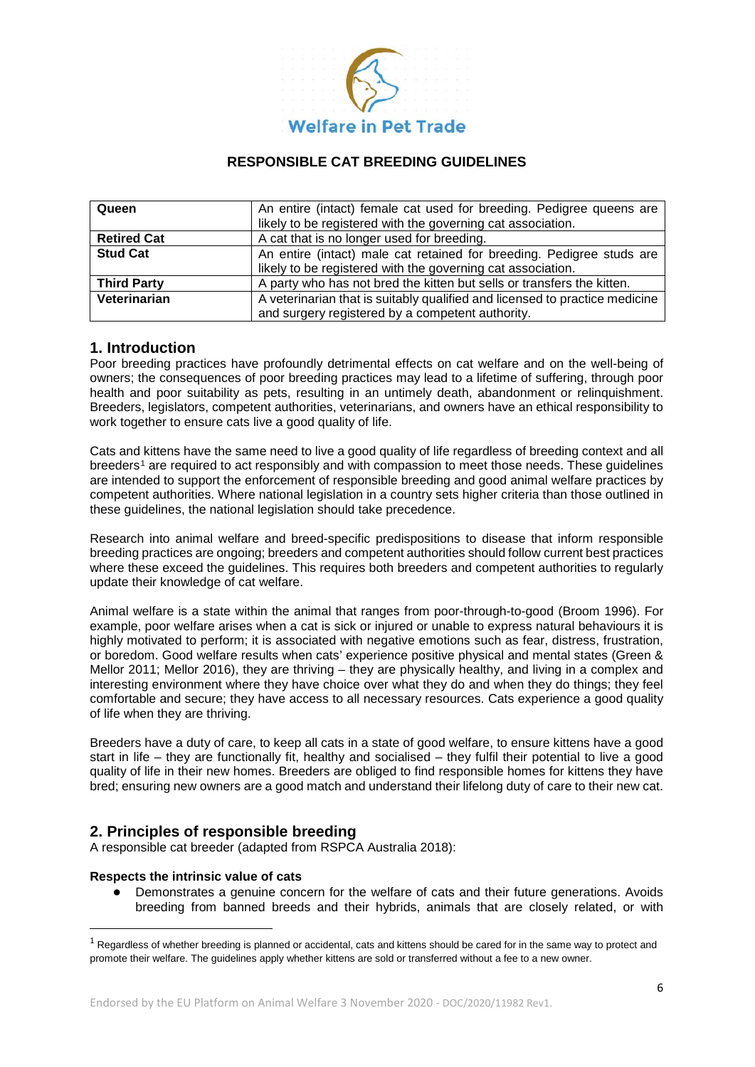

| Queen              | An entire (intact) female cat used for breeding. Pedigree queens are        |  |  |
|--------------------|-----------------------------------------------------------------------------|--|--|
|                    | likely to be registered with the governing cat association.                 |  |  |
| <b>Retired Cat</b> | A cat that is no longer used for breeding.                                  |  |  |
| <b>Stud Cat</b>    | An entire (intact) male cat retained for breeding. Pedigree studs are       |  |  |
|                    | likely to be registered with the governing cat association.                 |  |  |
| <b>Third Party</b> | A party who has not bred the kitten but sells or transfers the kitten.      |  |  |
| Veterinarian       | A veterinarian that is suitably qualified and licensed to practice medicine |  |  |
|                    | and surgery registered by a competent authority.                            |  |  |

### **1. Introduction**

Poor breeding practices have profoundly detrimental effects on cat welfare and on the well-being of owners; the consequences of poor breeding practices may lead to a lifetime of suffering, through poor health and poor suitability as pets, resulting in an untimely death, abandonment or relinquishment. Breeders, legislators, competent authorities, veterinarians, and owners have an ethical responsibility to work together to ensure cats live a good quality of life.

Cats and kittens have the same need to live a good quality of life regardless of breeding context and all breeders<sup>[1](#page-5-0)</sup> are required to act responsibly and with compassion to meet those needs. These quidelines are intended to support the enforcement of responsible breeding and good animal welfare practices by competent authorities. Where national legislation in a country sets higher criteria than those outlined in these guidelines, the national legislation should take precedence.

Research into animal welfare and breed-specific predispositions to disease that inform responsible breeding practices are ongoing; breeders and competent authorities should follow current best practices where these exceed the guidelines. This requires both breeders and competent authorities to regularly update their knowledge of cat welfare.

Animal welfare is a state within the animal that ranges from poor-through-to-good (Broom 1996). For example, poor welfare arises when a cat is sick or injured or unable to express natural behaviours it is highly motivated to perform; it is associated with negative emotions such as fear, distress, frustration, or boredom. Good welfare results when cats' experience positive physical and mental states (Green & Mellor 2011; Mellor 2016), they are thriving – they are physically healthy, and living in a complex and interesting environment where they have choice over what they do and when they do things; they feel comfortable and secure; they have access to all necessary resources. Cats experience a good quality of life when they are thriving.

Breeders have a duty of care, to keep all cats in a state of good welfare, to ensure kittens have a good start in life – they are functionally fit, healthy and socialised – they fulfil their potential to live a good quality of life in their new homes. Breeders are obliged to find responsible homes for kittens they have bred; ensuring new owners are a good match and understand their lifelong duty of care to their new cat.

# **2. Principles of responsible breeding**

A responsible cat breeder (adapted from RSPCA Australia 2018):

### **Respects the intrinsic value of cats**

● Demonstrates a genuine concern for the welfare of cats and their future generations. Avoids breeding from banned breeds and their hybrids, animals that are closely related, or with

<span id="page-5-0"></span> $1$  Regardless of whether breeding is planned or accidental, cats and kittens should be cared for in the same way to protect and promote their welfare. The guidelines apply whether kittens are sold or transferred without a fee to a new owner.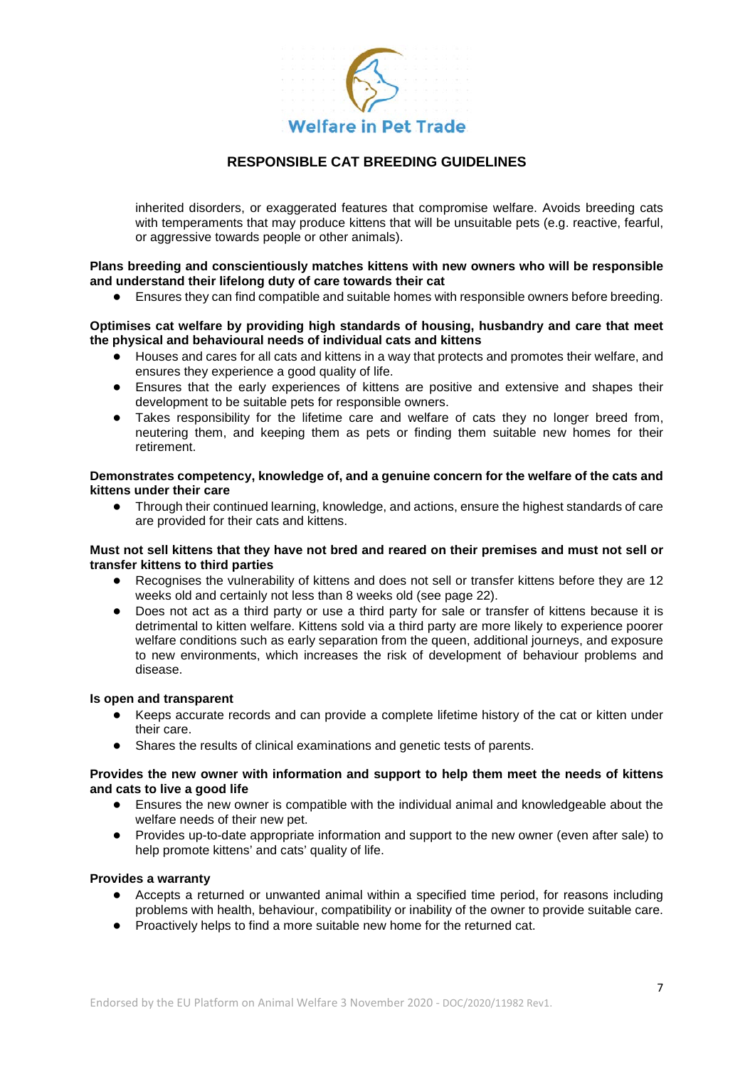

inherited disorders, or exaggerated features that compromise welfare. Avoids breeding cats with temperaments that may produce kittens that will be unsuitable pets (e.g. reactive, fearful, or aggressive towards people or other animals).

#### **Plans breeding and conscientiously matches kittens with new owners who will be responsible and understand their lifelong duty of care towards their cat**

Ensures they can find compatible and suitable homes with responsible owners before breeding.

#### **Optimises cat welfare by providing high standards of housing, husbandry and care that meet the physical and behavioural needs of individual cats and kittens**

- Houses and cares for all cats and kittens in a way that protects and promotes their welfare, and ensures they experience a good quality of life.
- Ensures that the early experiences of kittens are positive and extensive and shapes their development to be suitable pets for responsible owners.
- Takes responsibility for the lifetime care and welfare of cats they no longer breed from, neutering them, and keeping them as pets or finding them suitable new homes for their retirement.

#### **Demonstrates competency, knowledge of, and a genuine concern for the welfare of the cats and kittens under their care**

Through their continued learning, knowledge, and actions, ensure the highest standards of care are provided for their cats and kittens.

#### **Must not sell kittens that they have not bred and reared on their premises and must not sell or transfer kittens to third parties**

- Recognises the vulnerability of kittens and does not sell or transfer kittens before they are 12 weeks old and certainly not less than 8 weeks old (see page 22).
- Does not act as a third party or use a third party for sale or transfer of kittens because it is detrimental to kitten welfare. Kittens sold via a third party are more likely to experience poorer welfare conditions such as early separation from the queen, additional journeys, and exposure to new environments, which increases the risk of development of behaviour problems and disease.

#### **Is open and transparent**

- Keeps accurate records and can provide a complete lifetime history of the cat or kitten under their care.
- Shares the results of clinical examinations and genetic tests of parents.

#### **Provides the new owner with information and support to help them meet the needs of kittens and cats to live a good life**

- Ensures the new owner is compatible with the individual animal and knowledgeable about the welfare needs of their new pet.
- Provides up-to-date appropriate information and support to the new owner (even after sale) to help promote kittens' and cats' quality of life.

#### **Provides a warranty**

- Accepts a returned or unwanted animal within a specified time period, for reasons including problems with health, behaviour, compatibility or inability of the owner to provide suitable care.
- Proactively helps to find a more suitable new home for the returned cat.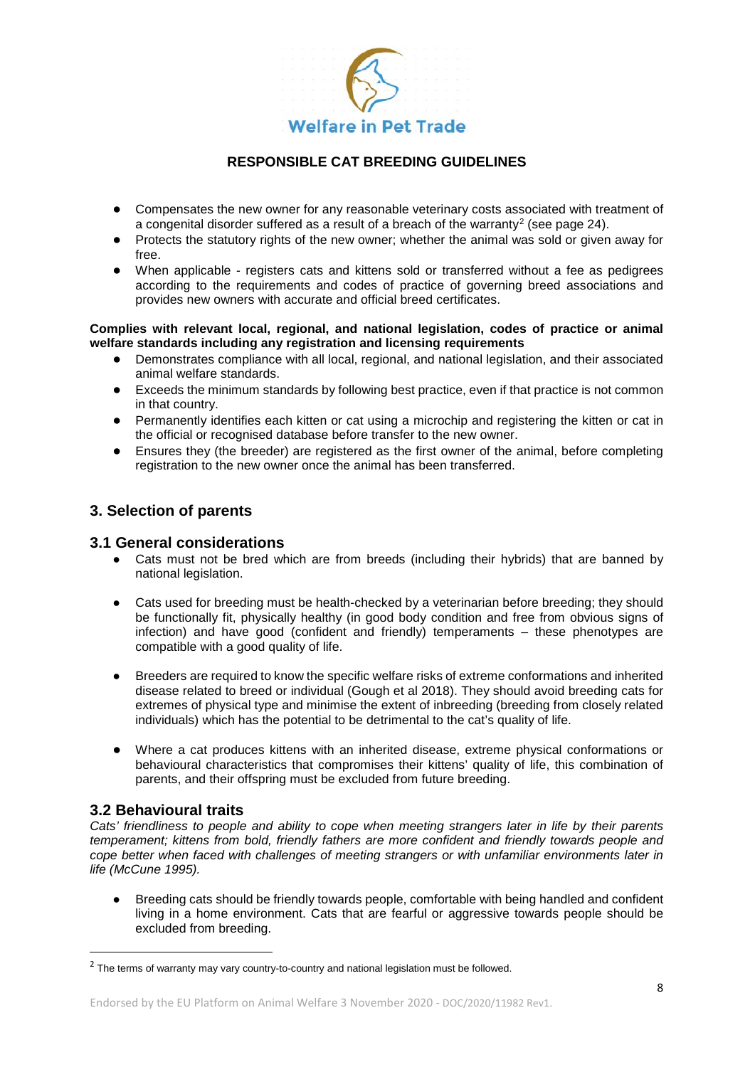

- Compensates the new owner for any reasonable veterinary costs associated with treatment of a congenital disorder suffered as a result of a breach of the warranty<sup>[2](#page-7-0)</sup> (see page 24).
- Protects the statutory rights of the new owner; whether the animal was sold or given away for free.
- When applicable registers cats and kittens sold or transferred without a fee as pedigrees according to the requirements and codes of practice of governing breed associations and provides new owners with accurate and official breed certificates.

#### **Complies with relevant local, regional, and national legislation, codes of practice or animal welfare standards including any registration and licensing requirements**

- Demonstrates compliance with all local, regional, and national legislation, and their associated animal welfare standards.
- Exceeds the minimum standards by following best practice, even if that practice is not common in that country.
- Permanently identifies each kitten or cat using a microchip and registering the kitten or cat in the official or recognised database before transfer to the new owner.
- Ensures they (the breeder) are registered as the first owner of the animal, before completing registration to the new owner once the animal has been transferred.

# **3. Selection of parents**

### **3.1 General considerations**

- Cats must not be bred which are from breeds (including their hybrids) that are banned by national legislation.
- Cats used for breeding must be health-checked by a veterinarian before breeding; they should be functionally fit, physically healthy (in good body condition and free from obvious signs of infection) and have good (confident and friendly) temperaments – these phenotypes are compatible with a good quality of life.
- Breeders are required to know the specific welfare risks of extreme conformations and inherited disease related to breed or individual (Gough et al 2018). They should avoid breeding cats for extremes of physical type and minimise the extent of inbreeding (breeding from closely related individuals) which has the potential to be detrimental to the cat's quality of life.
- Where a cat produces kittens with an inherited disease, extreme physical conformations or behavioural characteristics that compromises their kittens' quality of life, this combination of parents, and their offspring must be excluded from future breeding.

# **3.2 Behavioural traits**

*Cats' friendliness to people and ability to cope when meeting strangers later in life by their parents temperament; kittens from bold, friendly fathers are more confident and friendly towards people and cope better when faced with challenges of meeting strangers or with unfamiliar environments later in life (McCune 1995).* 

Breeding cats should be friendly towards people, comfortable with being handled and confident living in a home environment. Cats that are fearful or aggressive towards people should be excluded from breeding.

<span id="page-7-0"></span> $2$  The terms of warranty may vary country-to-country and national legislation must be followed.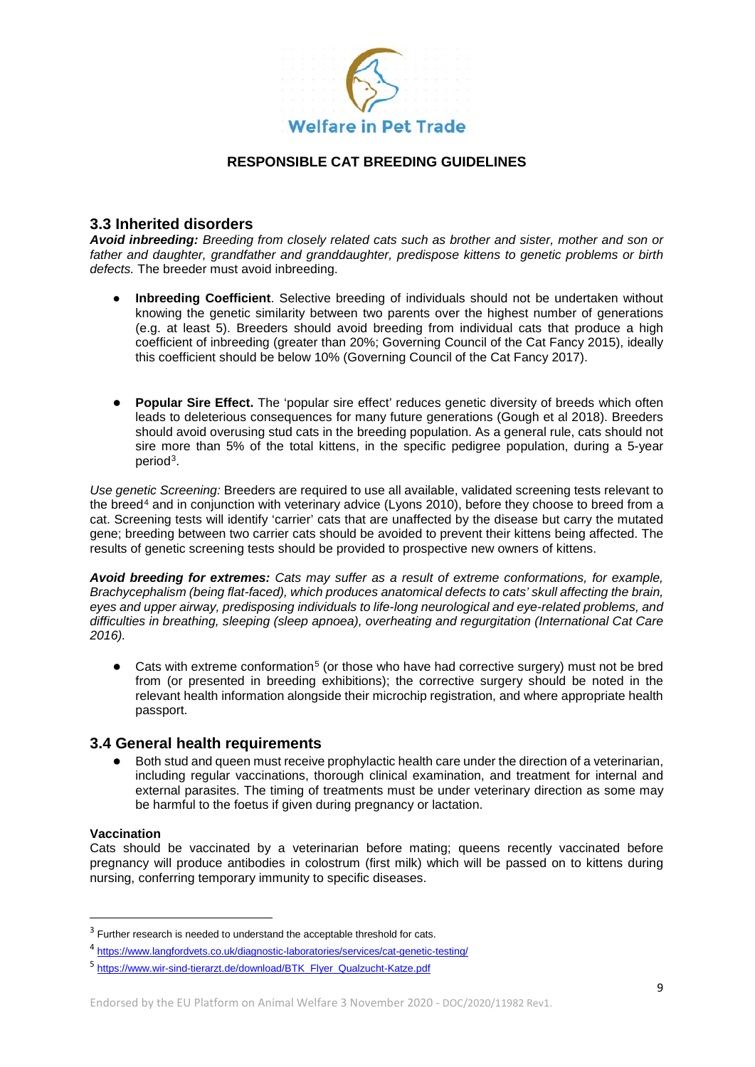

### **3.3 Inherited disorders**

*Avoid inbreeding: Breeding from closely related cats such as brother and sister, mother and son or father and daughter, grandfather and granddaughter, predispose kittens to genetic problems or birth defects.* The breeder must avoid inbreeding.

- **Inbreeding Coefficient**. Selective breeding of individuals should not be undertaken without knowing the genetic similarity between two parents over the highest number of generations (e.g. at least 5). Breeders should avoid breeding from individual cats that produce a high coefficient of inbreeding (greater than 20%; Governing Council of the Cat Fancy 2015), ideally this coefficient should be below 10% (Governing Council of the Cat Fancy 2017).
- **Popular Sire Effect.** The 'popular sire effect' reduces genetic diversity of breeds which often leads to deleterious consequences for many future generations (Gough et al 2018). Breeders should avoid overusing stud cats in the breeding population. As a general rule, cats should not sire more than 5% of the total kittens, in the specific pedigree population, during a 5-year period[3.](#page-8-0)

*Use genetic Screening:* Breeders are required to use all available, validated screening tests relevant to the breed<sup>[4](#page-8-1)</sup> and in conjunction with veterinary advice (Lyons 2010), before they choose to breed from a cat. Screening tests will identify 'carrier' cats that are unaffected by the disease but carry the mutated gene; breeding between two carrier cats should be avoided to prevent their kittens being affected. The results of genetic screening tests should be provided to prospective new owners of kittens.

*Avoid breeding for extremes: Cats may suffer as a result of extreme conformations, for example, Brachycephalism (being flat-faced), which produces anatomical defects to cats' skull affecting the brain, eyes and upper airway, predisposing individuals to life-long neurological and eye-related problems, and difficulties in breathing, sleeping (sleep apnoea), overheating and regurgitation (International Cat Care 2016).* 

Cats with extreme conformation<sup>[5](#page-8-2)</sup> (or those who have had corrective surgery) must not be bred from (or presented in breeding exhibitions); the corrective surgery should be noted in the relevant health information alongside their microchip registration, and where appropriate health passport.

### **3.4 General health requirements**

● Both stud and queen must receive prophylactic health care under the direction of a veterinarian, including regular vaccinations, thorough clinical examination, and treatment for internal and external parasites. The timing of treatments must be under veterinary direction as some may be harmful to the foetus if given during pregnancy or lactation.

#### **Vaccination**

Cats should be vaccinated by a veterinarian before mating; queens recently vaccinated before pregnancy will produce antibodies in colostrum (first milk) which will be passed on to kittens during nursing, conferring temporary immunity to specific diseases.

<span id="page-8-0"></span><sup>&</sup>lt;sup>3</sup> Further research is needed to understand the acceptable threshold for cats.

<span id="page-8-1"></span><sup>4</sup> <https://www.langfordvets.co.uk/diagnostic-laboratories/services/cat-genetic-testing/>

<span id="page-8-2"></span><sup>5</sup> [https://www.wir-sind-tierarzt.de/download/BTK\\_Flyer\\_Qualzucht-Katze.pdf](https://www.wir-sind-tierarzt.de/download/BTK_Flyer_Qualzucht-Katze.pdf)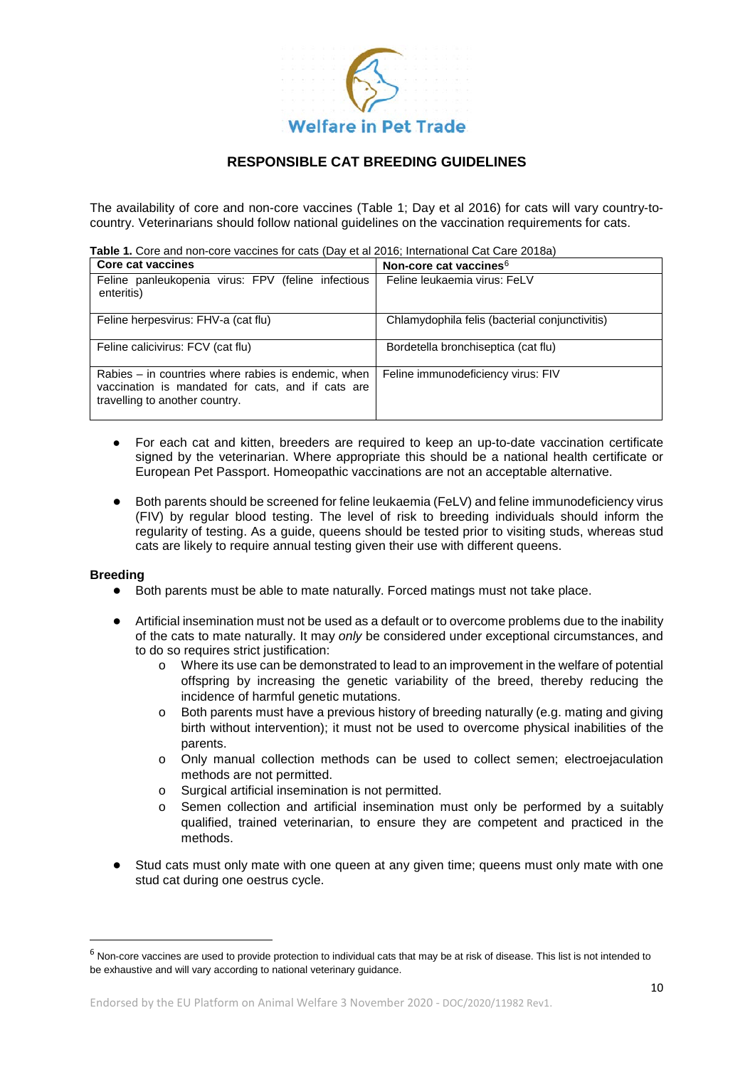

The availability of core and non-core vaccines (Table 1; Day et al 2016) for cats will vary country-tocountry. Veterinarians should follow national guidelines on the vaccination requirements for cats.

**Table 1.** Core and non-core vaccines for cats (Day et al 2016; International Cat Care 2018a)

| <b>Core cat vaccines</b>                                                                                                                   | Non-core cat vaccines <sup>6</sup>             |
|--------------------------------------------------------------------------------------------------------------------------------------------|------------------------------------------------|
| Feline panleukopenia virus: FPV (feline infectious<br>enteritis)                                                                           | Feline leukaemia virus: FeLV                   |
| Feline herpesvirus: FHV-a (cat flu)                                                                                                        | Chlamydophila felis (bacterial conjunctivitis) |
| Feline calicivirus: FCV (cat flu)                                                                                                          | Bordetella bronchiseptica (cat flu)            |
| Rabies – in countries where rabies is endemic, when<br>vaccination is mandated for cats, and if cats are<br>travelling to another country. | Feline immunodeficiency virus: FIV             |

- For each cat and kitten, breeders are required to keep an up-to-date vaccination certificate signed by the veterinarian. Where appropriate this should be a national health certificate or European Pet Passport. Homeopathic vaccinations are not an acceptable alternative.
- Both parents should be screened for feline leukaemia (FeLV) and feline immunodeficiency virus (FIV) by regular blood testing. The level of risk to breeding individuals should inform the regularity of testing. As a guide, queens should be tested prior to visiting studs, whereas stud cats are likely to require annual testing given their use with different queens.

#### **Breeding**

- Both parents must be able to mate naturally. Forced matings must not take place.
- Artificial insemination must not be used as a default or to overcome problems due to the inability of the cats to mate naturally. It may *only* be considered under exceptional circumstances, and to do so requires strict justification:
	- o Where its use can be demonstrated to lead to an improvement in the welfare of potential offspring by increasing the genetic variability of the breed, thereby reducing the incidence of harmful genetic mutations.
	- o Both parents must have a previous history of breeding naturally (e.g. mating and giving birth without intervention); it must not be used to overcome physical inabilities of the parents.
	- o Only manual collection methods can be used to collect semen; electroejaculation methods are not permitted.
	- o Surgical artificial insemination is not permitted.
	- o Semen collection and artificial insemination must only be performed by a suitably qualified, trained veterinarian, to ensure they are competent and practiced in the methods.
- Stud cats must only mate with one queen at any given time; queens must only mate with one stud cat during one oestrus cycle.

<span id="page-9-0"></span> $6$  Non-core vaccines are used to provide protection to individual cats that may be at risk of disease. This list is not intended to be exhaustive and will vary according to national veterinary guidance.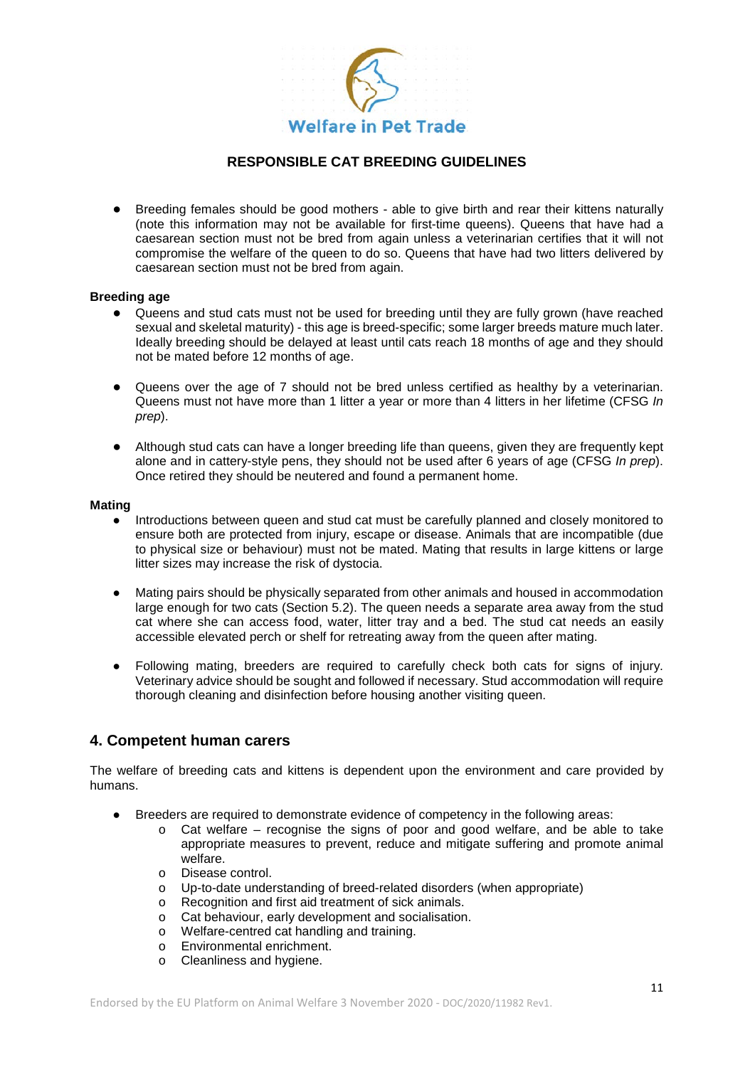

Breeding females should be good mothers - able to give birth and rear their kittens naturally (note this information may not be available for first-time queens). Queens that have had a caesarean section must not be bred from again unless a veterinarian certifies that it will not compromise the welfare of the queen to do so. Queens that have had two litters delivered by caesarean section must not be bred from again.

#### **Breeding age**

- Queens and stud cats must not be used for breeding until they are fully grown (have reached sexual and skeletal maturity) - this age is breed-specific; some larger breeds mature much later. Ideally breeding should be delayed at least until cats reach 18 months of age and they should not be mated before 12 months of age.
- Queens over the age of 7 should not be bred unless certified as healthy by a veterinarian. Queens must not have more than 1 litter a year or more than 4 litters in her lifetime (CFSG *In prep*).
- Although stud cats can have a longer breeding life than queens, given they are frequently kept alone and in cattery-style pens, they should not be used after 6 years of age (CFSG *In prep*). Once retired they should be neutered and found a permanent home.

#### **Mating**

- Introductions between queen and stud cat must be carefully planned and closely monitored to ensure both are protected from injury, escape or disease. Animals that are incompatible (due to physical size or behaviour) must not be mated. Mating that results in large kittens or large litter sizes may increase the risk of dystocia.
- Mating pairs should be physically separated from other animals and housed in accommodation large enough for two cats (Section 5.2). The queen needs a separate area away from the stud cat where she can access food, water, litter tray and a bed. The stud cat needs an easily accessible elevated perch or shelf for retreating away from the queen after mating.
- Following mating, breeders are required to carefully check both cats for signs of injury. Veterinary advice should be sought and followed if necessary. Stud accommodation will require thorough cleaning and disinfection before housing another visiting queen.

### **4. Competent human carers**

The welfare of breeding cats and kittens is dependent upon the environment and care provided by humans.

- Breeders are required to demonstrate evidence of competency in the following areas:
	- o Cat welfare recognise the signs of poor and good welfare, and be able to take appropriate measures to prevent, reduce and mitigate suffering and promote animal welfare.
	- o Disease control.
	- o Up-to-date understanding of breed-related disorders (when appropriate)<br>
	o Recognition and first aid treatment of sick animals.
	- Recognition and first aid treatment of sick animals.
	- o Cat behaviour, early development and socialisation.<br>
	o Welfare-centred cat handling and training
	- Welfare-centred cat handling and training.
	- o Environmental enrichment.<br>
	o Cleanliness and hygiene.
	- Cleanliness and hygiene.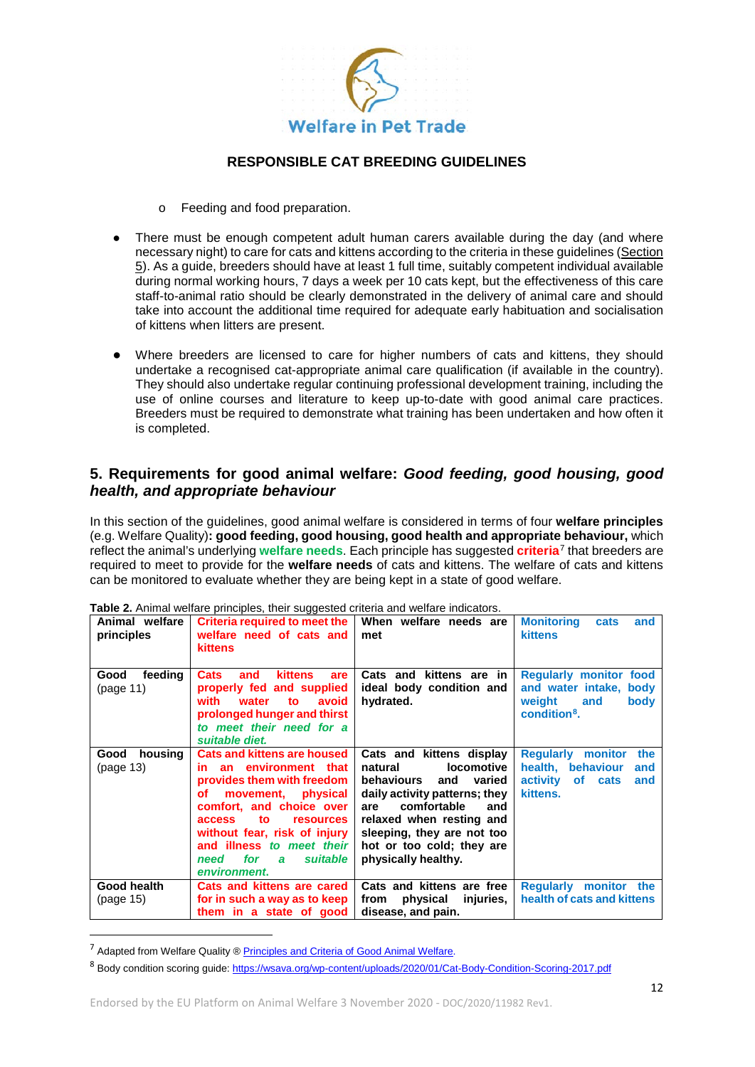

- o Feeding and food preparation.
- There must be enough competent adult human carers available during the day (and where necessary night) to care for cats and kittens according to the criteria in these guidelines (Section 5). As a guide, breeders should have at least 1 full time, suitably competent individual available during normal working hours, 7 days a week per 10 cats kept, but the effectiveness of this care staff-to-animal ratio should be clearly demonstrated in the delivery of animal care and should take into account the additional time required for adequate early habituation and socialisation of kittens when litters are present.
- Where breeders are licensed to care for higher numbers of cats and kittens, they should undertake a recognised cat-appropriate animal care qualification (if available in the country). They should also undertake regular continuing professional development training, including the use of online courses and literature to keep up-to-date with good animal care practices. Breeders must be required to demonstrate what training has been undertaken and how often it is completed.

# **5. Requirements for good animal welfare:** *Good feeding, good housing, good health, and appropriate behaviour*

In this section of the guidelines, good animal welfare is considered in terms of four **welfare principles**  (e.g. Welfare Quality)**: good feeding, good housing, good health and appropriate behaviour,** which reflect the animal's underlying **welfare needs**. Each principle has suggested **criteria**[7](#page-11-0) that breeders are required to meet to provide for the **welfare needs** of cats and kittens. The welfare of cats and kittens can be monitored to evaluate whether they are being kept in a state of good welfare.

| Animal welfare<br>principles | Criteria required to meet the<br>welfare need of cats and<br>kittens                                                                                                                                                                                                                                           | When welfare needs are<br>met                                                                                                                                                                                                                                       | <b>Monitoring</b><br>cats<br>and<br>kittens                                                                  |
|------------------------------|----------------------------------------------------------------------------------------------------------------------------------------------------------------------------------------------------------------------------------------------------------------------------------------------------------------|---------------------------------------------------------------------------------------------------------------------------------------------------------------------------------------------------------------------------------------------------------------------|--------------------------------------------------------------------------------------------------------------|
| feeding<br>Good<br>(page 11) | kittens<br><b>Cats</b><br>are<br>and<br>properly fed and supplied<br>with<br>water<br>avoid<br>to<br>prolonged hunger and thirst<br>to meet their need for a<br>suitable diet.                                                                                                                                 | Cats and kittens are in<br>ideal body condition and<br>hydrated.                                                                                                                                                                                                    | <b>Regularly monitor food</b><br>and water intake, body<br>weight<br>and<br>body<br>condition <sup>8</sup> . |
| Good<br>housing<br>(page 13) | <b>Cats and kittens are housed</b><br>in an environment that<br>provides them with freedom<br>movement.<br>physical<br>оf<br>comfort, and choice over<br><b>resources</b><br><b>access</b><br>to.<br>without fear, risk of injury<br>and illness to meet their<br>suitable<br>for<br>need<br>a<br>environment. | Cats and kittens display<br><b>locomotive</b><br>natural<br>behaviours<br>and<br>varied<br>daily activity patterns; they<br>comfortable<br>are<br>and<br>relaxed when resting and<br>sleeping, they are not too<br>hot or too cold; they are<br>physically healthy. | <b>Reqularly monitor</b><br>the<br>health, behaviour<br>and<br>activity<br>of cats<br>and<br>kittens.        |
| Good health<br>(page 15)     | Cats and kittens are cared<br>for in such a way as to keep<br>them in a state of good                                                                                                                                                                                                                          | Cats and kittens are free<br>physical<br>from<br>injuries,<br>disease, and pain.                                                                                                                                                                                    | <b>Reqularly monitor</b><br>the<br>health of cats and kittens                                                |

**Table 2.** Animal welfare principles, their suggested criteria and welfare indicators.

<span id="page-11-0"></span><sup>&</sup>lt;sup>7</sup> Adapted from Welfare Quality ® [Principles and Criteria of Good Animal Welfare.](http://www.welfarequality.net/media/1084/wq___factsheet_10_07_eng2.pdf)

<span id="page-11-1"></span><sup>8</sup> Body condition scoring guide[: https://wsava.org/wp-content/uploads/2020/01/Cat-Body-Condition-Scoring-2017.pdf](https://wsava.org/wp-content/uploads/2020/01/Cat-Body-Condition-Scoring-2017.pdf)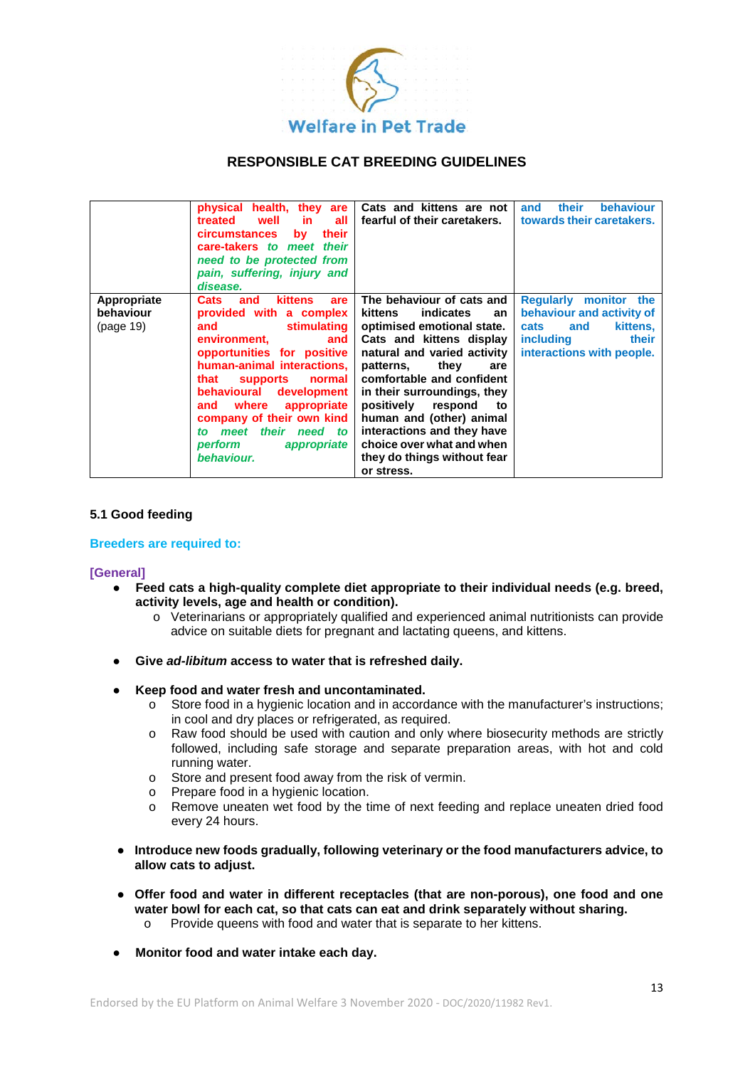

|                                       | physical health, they are<br>in l<br>well<br>all<br>treated<br><b>circumstances</b><br>their<br><b>bv</b><br>care-takers to meet their<br>need to be protected from<br>pain, suffering, injury and<br>disease.                                                                                                                                                              | Cats and kittens are not<br>fearful of their caretakers.                                                                                                                                                                                                                                                                                                                                                    | their<br><b>behaviour</b><br>and<br>towards their caretakers.                                                                    |
|---------------------------------------|-----------------------------------------------------------------------------------------------------------------------------------------------------------------------------------------------------------------------------------------------------------------------------------------------------------------------------------------------------------------------------|-------------------------------------------------------------------------------------------------------------------------------------------------------------------------------------------------------------------------------------------------------------------------------------------------------------------------------------------------------------------------------------------------------------|----------------------------------------------------------------------------------------------------------------------------------|
| Appropriate<br>behaviour<br>(page 19) | <b>kittens</b><br>are<br><b>Cats</b><br>and<br>provided with a complex<br>stimulating  <br>and<br>environment,<br>and<br>opportunities for positive<br>human-animal interactions,<br>supports normal<br>that<br>behavioural<br>development<br>and where appropriate<br>company of their own kind<br>meet their need to<br>to<br><b>perform</b><br>appropriate<br>behaviour. | The behaviour of cats and<br>indicates<br>kittens<br>an<br>optimised emotional state.<br>Cats and kittens display<br>natural and varied activity<br>they<br>patterns,<br>are<br>comfortable and confident<br>in their surroundings, they<br>positively<br>respond<br>to<br>human and (other) animal<br>interactions and they have<br>choice over what and when<br>they do things without fear<br>or stress. | Regularly monitor the<br>behaviour and activity of<br>kittens,<br>cats<br>and<br>including<br>their<br>interactions with people. |

#### **5.1 Good feeding**

#### **Breeders are required to:**

#### **[General]**

- **Feed cats a high-quality complete diet appropriate to their individual needs (e.g. breed, activity levels, age and health or condition).** 
	- o Veterinarians or appropriately qualified and experienced animal nutritionists can provide advice on suitable diets for pregnant and lactating queens, and kittens.
- **Give** *ad-libitum* **access to water that is refreshed daily.**
- **Keep food and water fresh and uncontaminated.**
	- o Store food in a hygienic location and in accordance with the manufacturer's instructions; in cool and dry places or refrigerated, as required.
	- o Raw food should be used with caution and only where biosecurity methods are strictly followed, including safe storage and separate preparation areas, with hot and cold running water.
	- o Store and present food away from the risk of vermin.
	- o Prepare food in a hygienic location.
	- o Remove uneaten wet food by the time of next feeding and replace uneaten dried food every 24 hours.
- **Introduce new foods gradually, following veterinary or the food manufacturers advice, to allow cats to adjust.**
- **Offer food and water in different receptacles (that are non-porous), one food and one water bowl for each cat, so that cats can eat and drink separately without sharing.** 
	- o Provide queens with food and water that is separate to her kittens.
- **Monitor food and water intake each day.**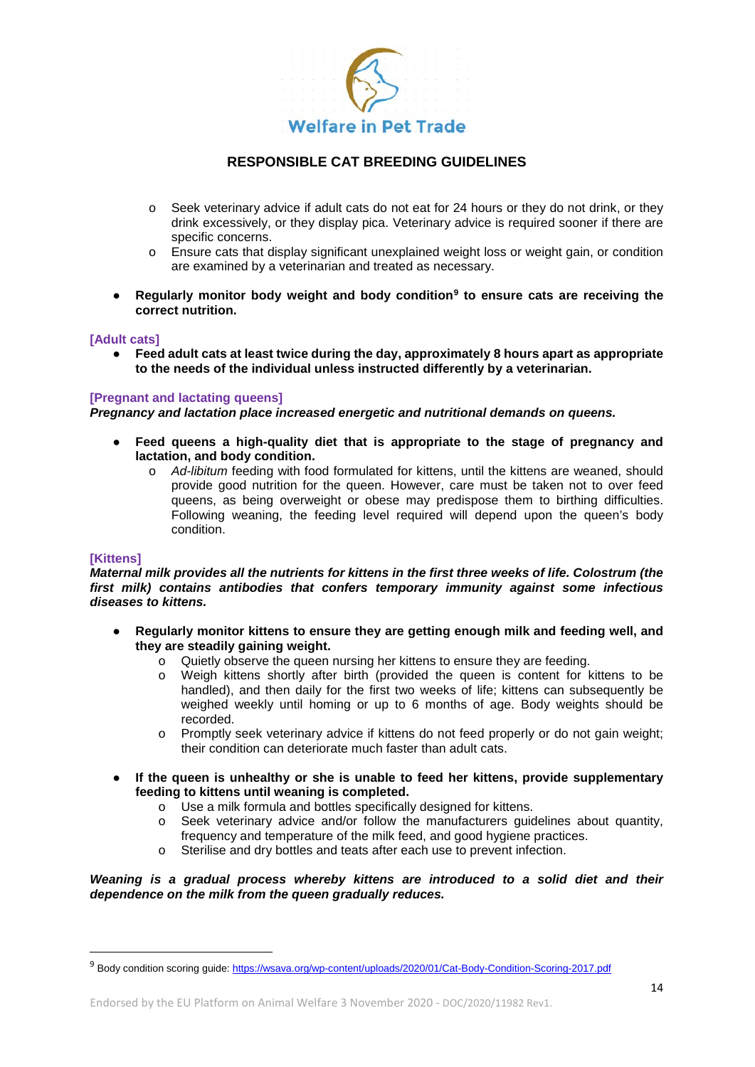

- o Seek veterinary advice if adult cats do not eat for 24 hours or they do not drink, or they drink excessively, or they display pica. Veterinary advice is required sooner if there are specific concerns.
- o Ensure cats that display significant unexplained weight loss or weight gain, or condition are examined by a veterinarian and treated as necessary.
- **Regularly monitor body weight and body condition[9](#page-13-0) to ensure cats are receiving the correct nutrition.**

#### **[Adult cats]**

● **Feed adult cats at least twice during the day, approximately 8 hours apart as appropriate to the needs of the individual unless instructed differently by a veterinarian.** 

#### **[Pregnant and lactating queens]**

*Pregnancy and lactation place increased energetic and nutritional demands on queens.*

- **Feed queens a high-quality diet that is appropriate to the stage of pregnancy and lactation, and body condition.** 
	- o *Ad-libitum* feeding with food formulated for kittens, until the kittens are weaned, should provide good nutrition for the queen. However, care must be taken not to over feed queens, as being overweight or obese may predispose them to birthing difficulties. Following weaning, the feeding level required will depend upon the queen's body condition.

#### **[Kittens]**

*Maternal milk provides all the nutrients for kittens in the first three weeks of life. Colostrum (the first milk) contains antibodies that confers temporary immunity against some infectious diseases to kittens.*

- **Regularly monitor kittens to ensure they are getting enough milk and feeding well, and they are steadily gaining weight.**
	- o Quietly observe the queen nursing her kittens to ensure they are feeding.
	- Weigh kittens shortly after birth (provided the queen is content for kittens to be handled), and then daily for the first two weeks of life; kittens can subsequently be weighed weekly until homing or up to 6 months of age. Body weights should be recorded.
	- o Promptly seek veterinary advice if kittens do not feed properly or do not gain weight; their condition can deteriorate much faster than adult cats.
- **If the queen is unhealthy or she is unable to feed her kittens, provide supplementary feeding to kittens until weaning is completed.**
	- o Use a milk formula and bottles specifically designed for kittens.
	- o Seek veterinary advice and/or follow the manufacturers guidelines about quantity, frequency and temperature of the milk feed, and good hygiene practices.
	- o Sterilise and dry bottles and teats after each use to prevent infection.

*Weaning is a gradual process whereby kittens are introduced to a solid diet and their dependence on the milk from the queen gradually reduces.*

<span id="page-13-0"></span> <sup>9</sup> Body condition scoring guide[: https://wsava.org/wp-content/uploads/2020/01/Cat-Body-Condition-Scoring-2017.pdf](https://wsava.org/wp-content/uploads/2020/01/Cat-Body-Condition-Scoring-2017.pdf)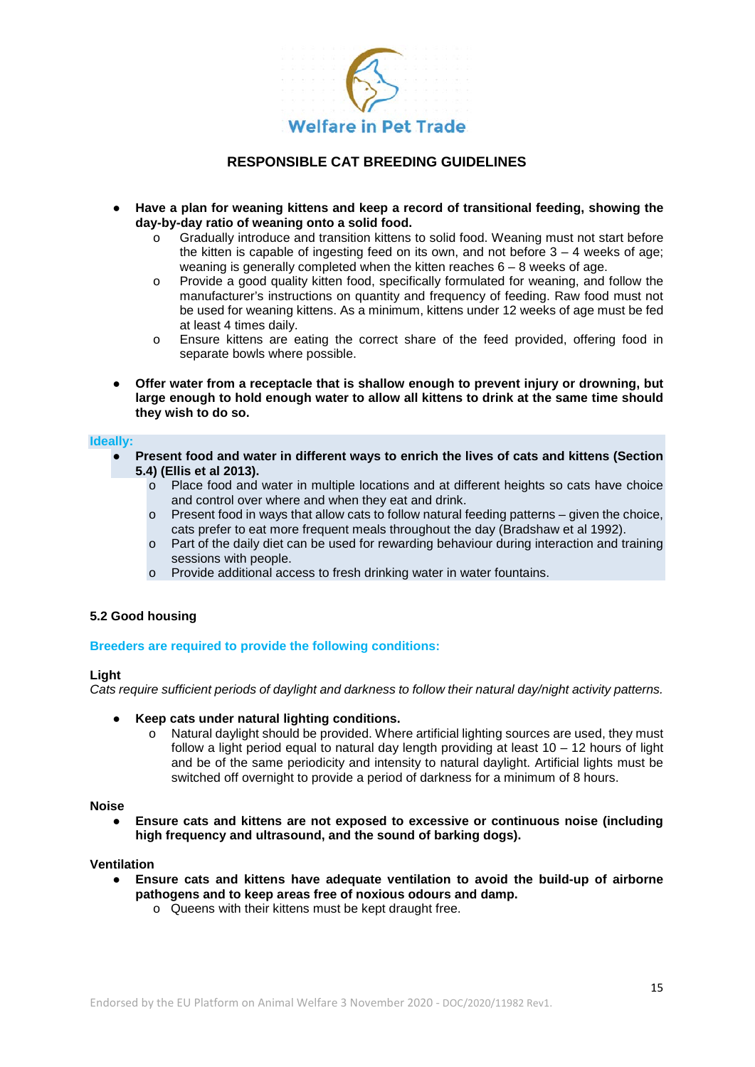

- **Have a plan for weaning kittens and keep a record of transitional feeding, showing the day-by-day ratio of weaning onto a solid food.**
	- Gradually introduce and transition kittens to solid food. Weaning must not start before the kitten is capable of ingesting feed on its own, and not before  $3 - 4$  weeks of age; weaning is generally completed when the kitten reaches  $6 - 8$  weeks of age.
	- o Provide a good quality kitten food, specifically formulated for weaning, and follow the manufacturer's instructions on quantity and frequency of feeding. Raw food must not be used for weaning kittens. As a minimum, kittens under 12 weeks of age must be fed at least 4 times daily.
	- o Ensure kittens are eating the correct share of the feed provided, offering food in separate bowls where possible.
- **Offer water from a receptacle that is shallow enough to prevent injury or drowning, but large enough to hold enough water to allow all kittens to drink at the same time should they wish to do so.**

#### **Ideally:**

- Present food and water in different ways to enrich the lives of cats and kittens (Section **5.4) (Ellis et al 2013).**
	- o Place food and water in multiple locations and at different heights so cats have choice and control over where and when they eat and drink.
	- $\circ$  Present food in ways that allow cats to follow natural feeding patterns given the choice, cats prefer to eat more frequent meals throughout the day (Bradshaw et al 1992).
	- $\circ$  Part of the daily diet can be used for rewarding behaviour during interaction and training sessions with people.
	- o Provide additional access to fresh drinking water in water fountains.

### **5.2 Good housing**

#### **Breeders are required to provide the following conditions:**

#### **Light**

*Cats require sufficient periods of daylight and darkness to follow their natural day/night activity patterns.*

- **Keep cats under natural lighting conditions.** 
	- $\circ$  Natural daylight should be provided. Where artificial lighting sources are used, they must follow a light period equal to natural day length providing at least 10 – 12 hours of light and be of the same periodicity and intensity to natural daylight. Artificial lights must be switched off overnight to provide a period of darkness for a minimum of 8 hours.

#### **Noise**

● **Ensure cats and kittens are not exposed to excessive or continuous noise (including high frequency and ultrasound, and the sound of barking dogs).**

#### **Ventilation**

- **Ensure cats and kittens have adequate ventilation to avoid the build-up of airborne pathogens and to keep areas free of noxious odours and damp.** 
	- o Queens with their kittens must be kept draught free.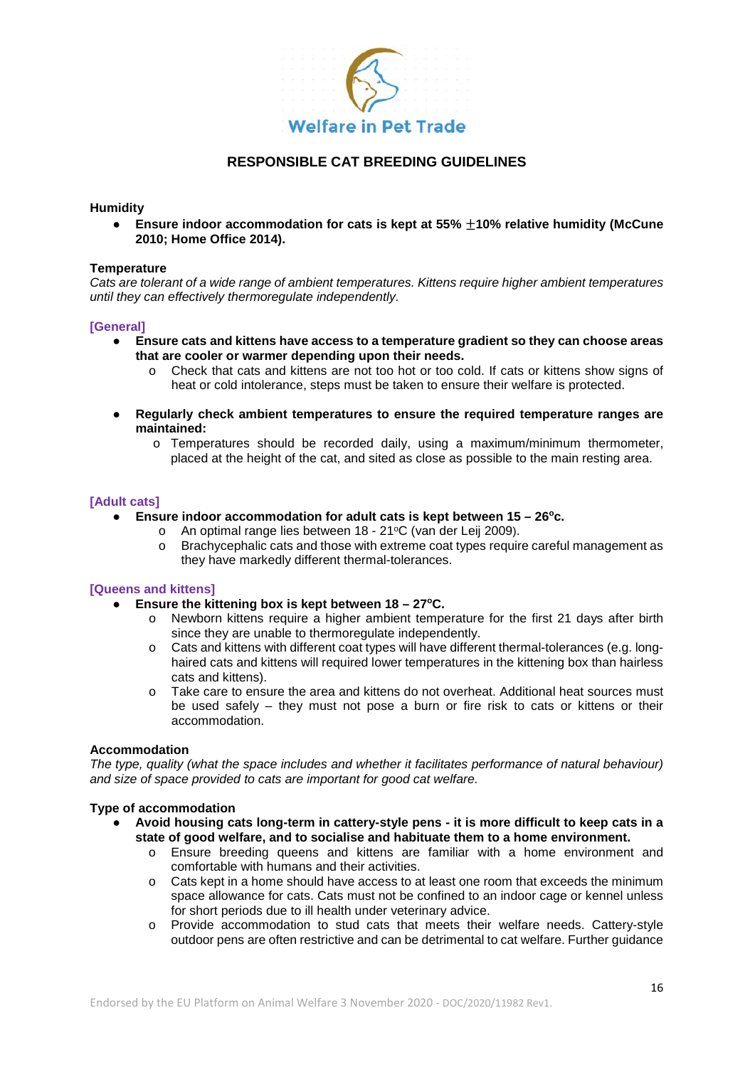

#### **Humidity**

● **Ensure indoor accommodation for cats is kept at 55%** ±**10% relative humidity (McCune 2010; Home Office 2014).**

#### **Temperature**

*Cats are tolerant of a wide range of ambient temperatures. Kittens require higher ambient temperatures until they can effectively thermoregulate independently.* 

#### **[General]**

- **Ensure cats and kittens have access to a temperature gradient so they can choose areas that are cooler or warmer depending upon their needs.**
	- o Check that cats and kittens are not too hot or too cold. If cats or kittens show signs of heat or cold intolerance, steps must be taken to ensure their welfare is protected.
- **Regularly check ambient temperatures to ensure the required temperature ranges are maintained:** 
	- o Temperatures should be recorded daily, using a maximum/minimum thermometer, placed at the height of the cat, and sited as close as possible to the main resting area.

#### **[Adult cats]**

- **Ensure indoor accommodation for adult cats is kept between 15 26°c.** 
	- o An optimal range lies between 18 21°C (van der Leij 2009).
	- o Brachycephalic cats and those with extreme coat types require careful management as they have markedly different thermal-tolerances.

#### **[Queens and kittens]**

- **Ensure the kittening box is kept between 18 – 27oC.** 
	- o Newborn kittens require a higher ambient temperature for the first 21 days after birth since they are unable to thermoregulate independently.
	- o Cats and kittens with different coat types will have different thermal-tolerances (e.g. longhaired cats and kittens will required lower temperatures in the kittening box than hairless cats and kittens).
	- o Take care to ensure the area and kittens do not overheat. Additional heat sources must be used safely – they must not pose a burn or fire risk to cats or kittens or their accommodation.

#### **Accommodation**

*The type, quality (what the space includes and whether it facilitates performance of natural behaviour) and size of space provided to cats are important for good cat welfare.*

### **Type of accommodation**

- **Avoid housing cats long-term in cattery-style pens - it is more difficult to keep cats in a state of good welfare, and to socialise and habituate them to a home environment.**
	- o Ensure breeding queens and kittens are familiar with a home environment and comfortable with humans and their activities.
	- o Cats kept in a home should have access to at least one room that exceeds the minimum space allowance for cats. Cats must not be confined to an indoor cage or kennel unless for short periods due to ill health under veterinary advice.
	- o Provide accommodation to stud cats that meets their welfare needs. Cattery-style outdoor pens are often restrictive and can be detrimental to cat welfare. Further guidance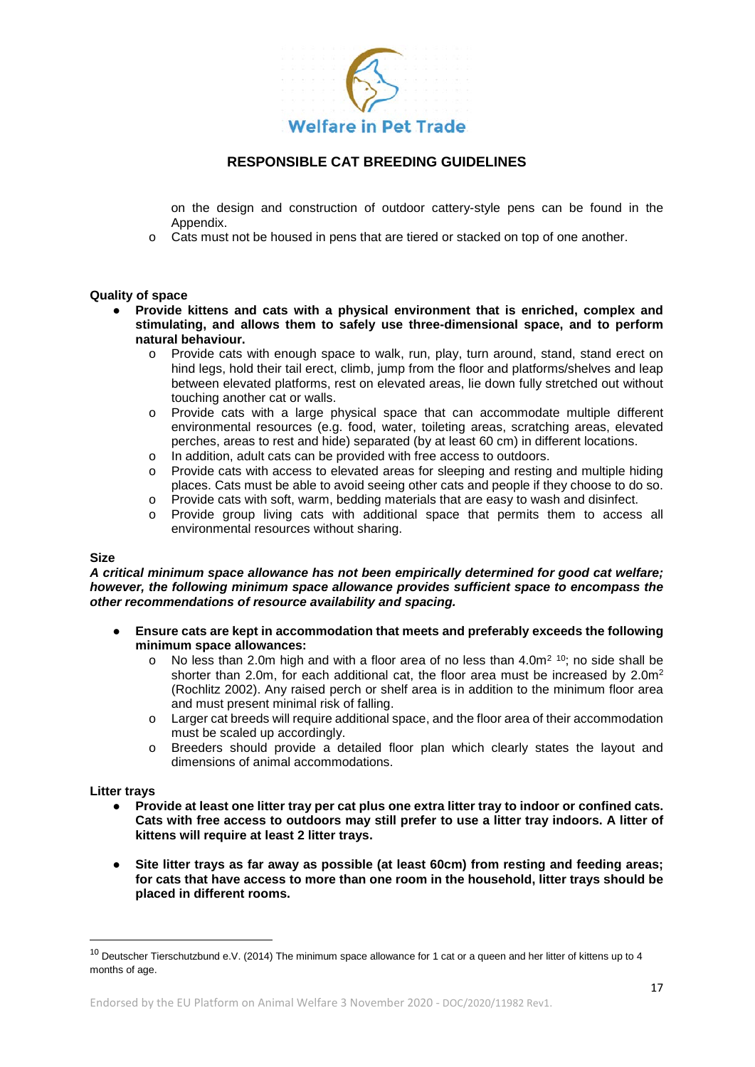

on the design and construction of outdoor cattery-style pens can be found in the Appendix.

o Cats must not be housed in pens that are tiered or stacked on top of one another.

#### **Quality of space**

- **Provide kittens and cats with a physical environment that is enriched, complex and stimulating, and allows them to safely use three-dimensional space, and to perform natural behaviour.**
	- o Provide cats with enough space to walk, run, play, turn around, stand, stand erect on hind legs, hold their tail erect, climb, jump from the floor and platforms/shelves and leap between elevated platforms, rest on elevated areas, lie down fully stretched out without touching another cat or walls.
	- o Provide cats with a large physical space that can accommodate multiple different environmental resources (e.g. food, water, toileting areas, scratching areas, elevated perches, areas to rest and hide) separated (by at least 60 cm) in different locations.
	- o In addition, adult cats can be provided with free access to outdoors.
	- o Provide cats with access to elevated areas for sleeping and resting and multiple hiding places. Cats must be able to avoid seeing other cats and people if they choose to do so.
	- o Provide cats with soft, warm, bedding materials that are easy to wash and disinfect.
	- o Provide group living cats with additional space that permits them to access all environmental resources without sharing.

#### **Size**

*A critical minimum space allowance has not been empirically determined for good cat welfare; however, the following minimum space allowance provides sufficient space to encompass the other recommendations of resource availability and spacing.* 

- **Ensure cats are kept in accommodation that meets and preferably exceeds the following minimum space allowances:**
	- $\circ$  No less than 2.0m high and with a floor area of no less than 4.0m<sup>2 [10](#page-16-0)</sup>; no side shall be shorter than 2.0m, for each additional cat, the floor area must be increased by  $2.0m^2$ (Rochlitz 2002). Any raised perch or shelf area is in addition to the minimum floor area and must present minimal risk of falling.
	- o Larger cat breeds will require additional space, and the floor area of their accommodation must be scaled up accordingly.
	- o Breeders should provide a detailed floor plan which clearly states the layout and dimensions of animal accommodations.

#### **Litter trays**

- **Provide at least one litter tray per cat plus one extra litter tray to indoor or confined cats. Cats with free access to outdoors may still prefer to use a litter tray indoors. A litter of kittens will require at least 2 litter trays.**
- **Site litter trays as far away as possible (at least 60cm) from resting and feeding areas; for cats that have access to more than one room in the household, litter trays should be placed in different rooms.**

<span id="page-16-0"></span> $10$  Deutscher Tierschutzbund e.V. (2014) The minimum space allowance for 1 cat or a queen and her litter of kittens up to 4 months of age.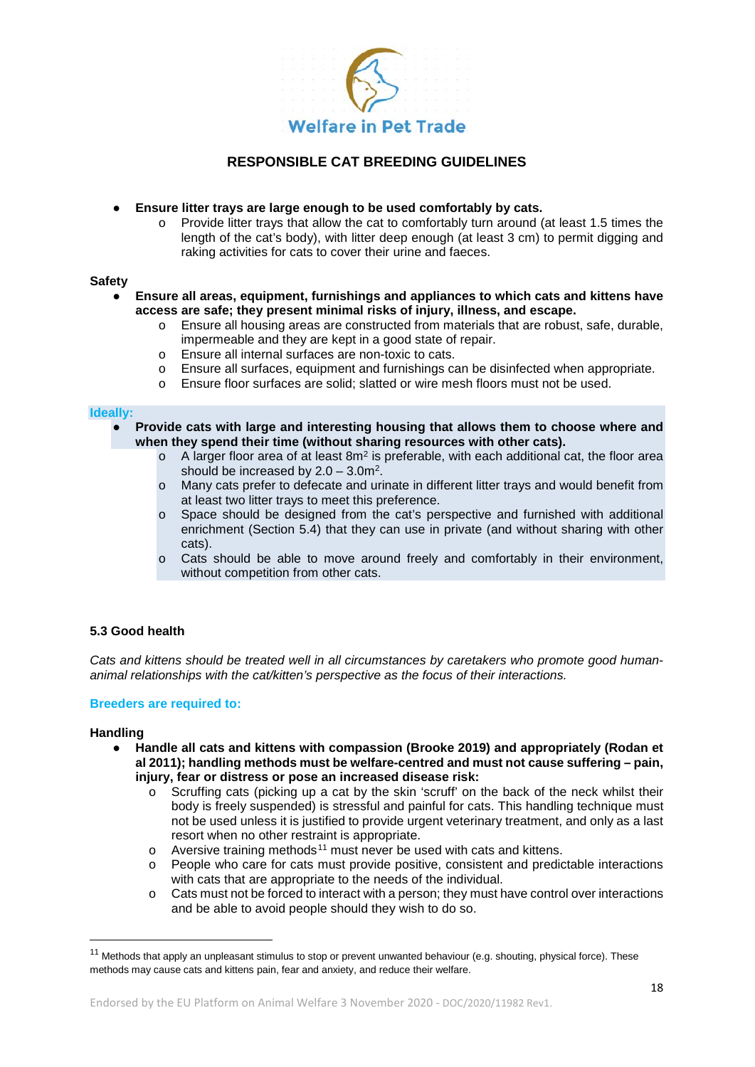

- **Ensure litter trays are large enough to be used comfortably by cats.**
	- o Provide litter trays that allow the cat to comfortably turn around (at least 1.5 times the length of the cat's body), with litter deep enough (at least 3 cm) to permit digging and raking activities for cats to cover their urine and faeces.

#### **Safety**

- **Ensure all areas, equipment, furnishings and appliances to which cats and kittens have access are safe; they present minimal risks of injury, illness, and escape.**
	- o Ensure all housing areas are constructed from materials that are robust, safe, durable, impermeable and they are kept in a good state of repair.
	- o Ensure all internal surfaces are non-toxic to cats.
	- o Ensure all surfaces, equipment and furnishings can be disinfected when appropriate.
	- o Ensure floor surfaces are solid; slatted or wire mesh floors must not be used.

### **Ideally:**

- **Provide cats with large and interesting housing that allows them to choose where and when they spend their time (without sharing resources with other cats).**
	- $\circ$  A larger floor area of at least 8m<sup>2</sup> is preferable, with each additional cat, the floor area should be increased by  $2.0 - 3.0$ m<sup>2</sup>.
	- o Many cats prefer to defecate and urinate in different litter trays and would benefit from at least two litter trays to meet this preference.
	- o Space should be designed from the cat's perspective and furnished with additional enrichment (Section 5.4) that they can use in private (and without sharing with other cats).
	- $\circ$  Cats should be able to move around freely and comfortably in their environment, without competition from other cats.

#### **5.3 Good health**

*Cats and kittens should be treated well in all circumstances by caretakers who promote good humananimal relationships with the cat/kitten's perspective as the focus of their interactions.*

#### **Breeders are required to:**

#### **Handling**

- **Handle all cats and kittens with compassion (Brooke 2019) and appropriately (Rodan et al 2011); handling methods must be welfare-centred and must not cause suffering – pain, injury, fear or distress or pose an increased disease risk:**
	- $\circ$  Scruffing cats (picking up a cat by the skin 'scruff' on the back of the neck whilst their body is freely suspended) is stressful and painful for cats. This handling technique must not be used unless it is justified to provide urgent veterinary treatment, and only as a last resort when no other restraint is appropriate.
	- $\circ$  Aversive training methods<sup>[11](#page-17-0)</sup> must never be used with cats and kittens.
	- o People who care for cats must provide positive, consistent and predictable interactions with cats that are appropriate to the needs of the individual.
	- o Cats must not be forced to interact with a person; they must have control over interactions and be able to avoid people should they wish to do so.

<span id="page-17-0"></span> $11$  Methods that apply an unpleasant stimulus to stop or prevent unwanted behaviour (e.g. shouting, physical force). These methods may cause cats and kittens pain, fear and anxiety, and reduce their welfare.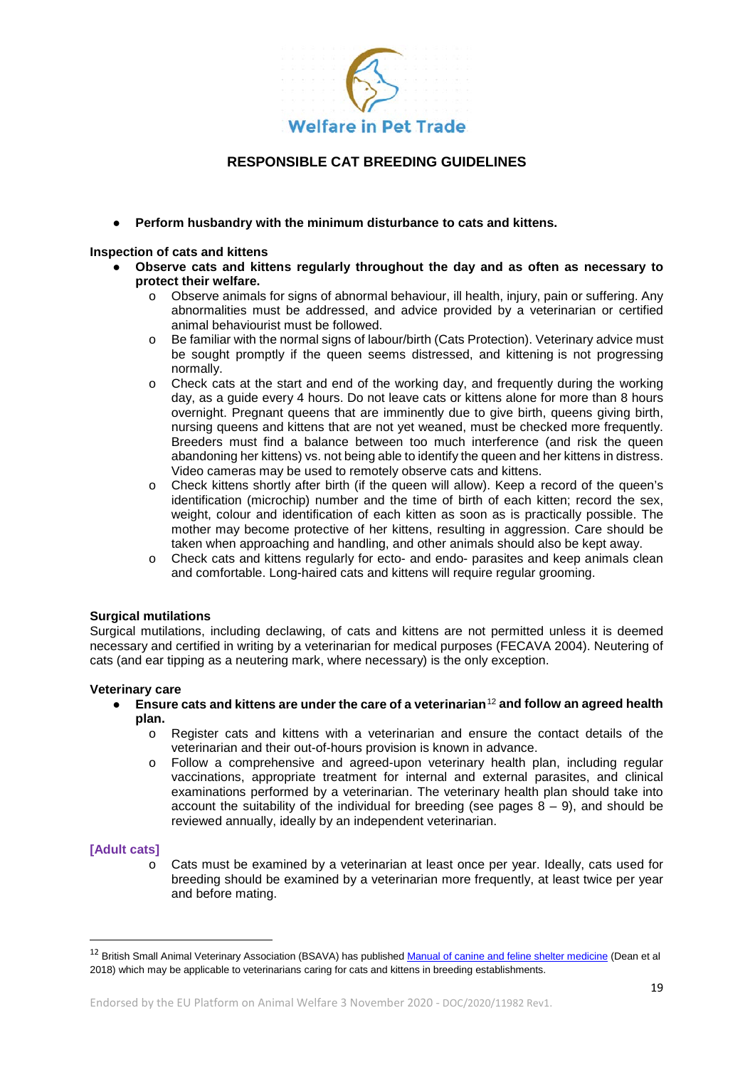

● **Perform husbandry with the minimum disturbance to cats and kittens.**

#### **Inspection of cats and kittens**

- **Observe cats and kittens regularly throughout the day and as often as necessary to protect their welfare.**
	- o Observe animals for signs of abnormal behaviour, ill health, injury, pain or suffering. Any abnormalities must be addressed, and advice provided by a veterinarian or certified animal behaviourist must be followed.
	- o Be familiar with the normal signs of labour/birth (Cats Protection). Veterinary advice must be sought promptly if the queen seems distressed, and kittening is not progressing normally.
	- o Check cats at the start and end of the working day, and frequently during the working day, as a guide every 4 hours. Do not leave cats or kittens alone for more than 8 hours overnight. Pregnant queens that are imminently due to give birth, queens giving birth, nursing queens and kittens that are not yet weaned, must be checked more frequently. Breeders must find a balance between too much interference (and risk the queen abandoning her kittens) vs. not being able to identify the queen and her kittens in distress. Video cameras may be used to remotely observe cats and kittens.
	- o Check kittens shortly after birth (if the queen will allow). Keep a record of the queen's identification (microchip) number and the time of birth of each kitten; record the sex, weight, colour and identification of each kitten as soon as is practically possible. The mother may become protective of her kittens, resulting in aggression. Care should be taken when approaching and handling, and other animals should also be kept away.
	- o Check cats and kittens regularly for ecto- and endo- parasites and keep animals clean and comfortable. Long-haired cats and kittens will require regular grooming.

#### **Surgical mutilations**

Surgical mutilations, including declawing, of cats and kittens are not permitted unless it is deemed necessary and certified in writing by a veterinarian for medical purposes (FECAVA 2004). Neutering of cats (and ear tipping as a neutering mark, where necessary) is the only exception.

#### **Veterinary care**

- **Ensure cats and kittens are under the care of a veterinarian**[12](#page-18-0) **and follow an agreed health plan.**
	- o Register cats and kittens with a veterinarian and ensure the contact details of the veterinarian and their out-of-hours provision is known in advance.
	- o Follow a comprehensive and agreed-upon veterinary health plan, including regular vaccinations, appropriate treatment for internal and external parasites, and clinical examinations performed by a veterinarian. The veterinary health plan should take into account the suitability of the individual for breeding (see pages  $8 - 9$ ), and should be reviewed annually, ideally by an independent veterinarian.

#### **[Adult cats]**

Cats must be examined by a veterinarian at least once per year. Ideally, cats used for breeding should be examined by a veterinarian more frequently, at least twice per year and before mating.

<span id="page-18-0"></span><sup>&</sup>lt;sup>12</sup> British Small Animal Veterinary Association (BSAVA) has published [Manual of canine and feline shelter medicine](https://www.bsavalibrary.com/content/book/10.22233/9781910443330) (Dean et al 2018) which may be applicable to veterinarians caring for cats and kittens in breeding establishments.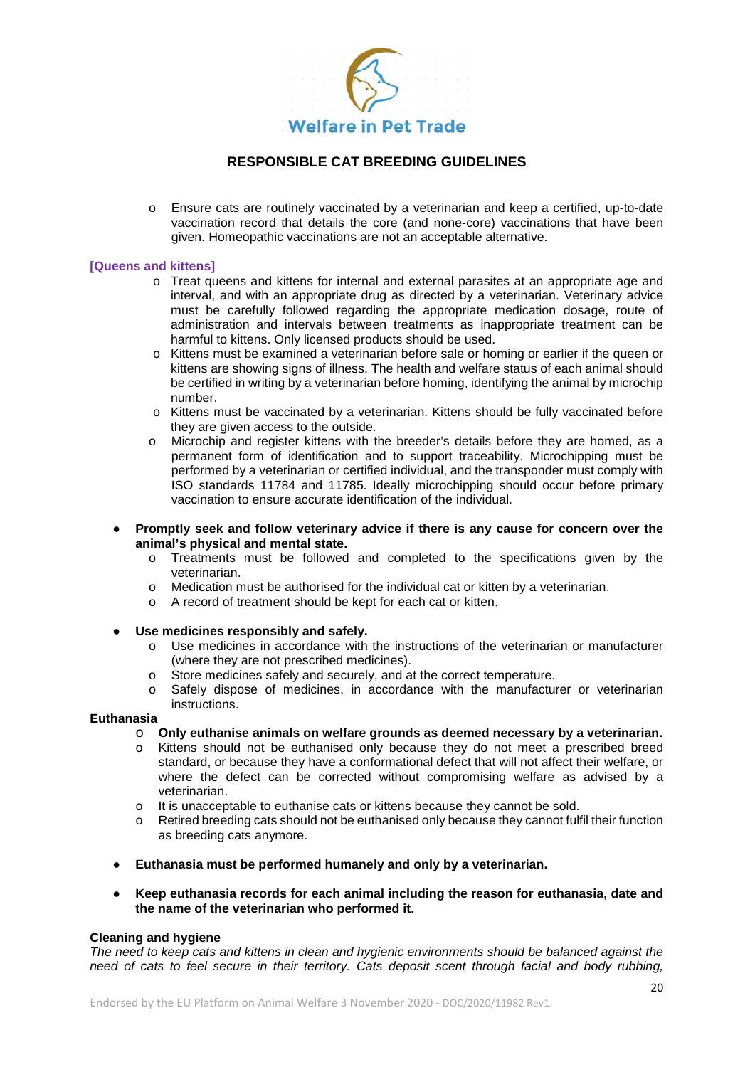

o Ensure cats are routinely vaccinated by a veterinarian and keep a certified, up-to-date vaccination record that details the core (and none-core) vaccinations that have been given. Homeopathic vaccinations are not an acceptable alternative.

#### **[Queens and kittens]**

- o Treat queens and kittens for internal and external parasites at an appropriate age and interval, and with an appropriate drug as directed by a veterinarian. Veterinary advice must be carefully followed regarding the appropriate medication dosage, route of administration and intervals between treatments as inappropriate treatment can be harmful to kittens. Only licensed products should be used.
- o Kittens must be examined a veterinarian before sale or homing or earlier if the queen or kittens are showing signs of illness. The health and welfare status of each animal should be certified in writing by a veterinarian before homing, identifying the animal by microchip number.
- o Kittens must be vaccinated by a veterinarian. Kittens should be fully vaccinated before they are given access to the outside.
- o Microchip and register kittens with the breeder's details before they are homed, as a permanent form of identification and to support traceability. Microchipping must be performed by a veterinarian or certified individual, and the transponder must comply with ISO standards 11784 and 11785. Ideally microchipping should occur before primary vaccination to ensure accurate identification of the individual.
- **Promptly seek and follow veterinary advice if there is any cause for concern over the animal's physical and mental state.** 
	- o Treatments must be followed and completed to the specifications given by the veterinarian.
	- $\circ$  Medication must be authorised for the individual cat or kitten by a veterinarian.<br>
	A record of treatment should be kept for each cat or kitten
	- A record of treatment should be kept for each cat or kitten.
- **Use medicines responsibly and safely.**
	- o Use medicines in accordance with the instructions of the veterinarian or manufacturer (where they are not prescribed medicines).
	- o Store medicines safely and securely, and at the correct temperature.
	- o Safely dispose of medicines, in accordance with the manufacturer or veterinarian instructions.

#### **Euthanasia**

- o **Only euthanise animals on welfare grounds as deemed necessary by a veterinarian.**
- o Kittens should not be euthanised only because they do not meet a prescribed breed standard, or because they have a conformational defect that will not affect their welfare, or where the defect can be corrected without compromising welfare as advised by a veterinarian.
- o It is unacceptable to euthanise cats or kittens because they cannot be sold.<br>Refired breeding cats should not be euthanised only because they cannot full
- Retired breeding cats should not be euthanised only because they cannot fulfil their function as breeding cats anymore.
- **Euthanasia must be performed humanely and only by a veterinarian.**
- **Keep euthanasia records for each animal including the reason for euthanasia, date and the name of the veterinarian who performed it.**

#### **Cleaning and hygiene**

*The need to keep cats and kittens in clean and hygienic environments should be balanced against the need of cats to feel secure in their territory. Cats deposit scent through facial and body rubbing,*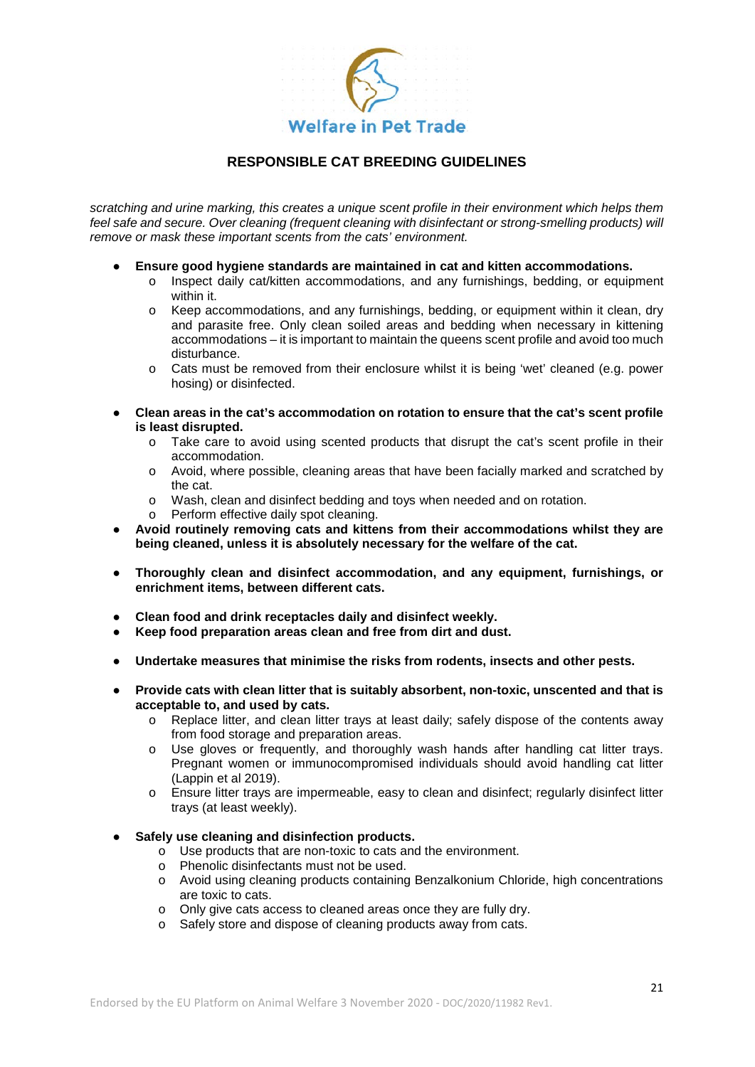

*scratching and urine marking, this creates a unique scent profile in their environment which helps them feel safe and secure. Over cleaning (frequent cleaning with disinfectant or strong-smelling products) will remove or mask these important scents from the cats' environment.*

- **Ensure good hygiene standards are maintained in cat and kitten accommodations.**
	- o Inspect daily cat/kitten accommodations, and any furnishings, bedding, or equipment within it.
	- o Keep accommodations, and any furnishings, bedding, or equipment within it clean, dry and parasite free. Only clean soiled areas and bedding when necessary in kittening accommodations – it is important to maintain the queens scent profile and avoid too much disturbance.
	- o Cats must be removed from their enclosure whilst it is being 'wet' cleaned (e.g. power hosing) or disinfected.
- **Clean areas in the cat's accommodation on rotation to ensure that the cat's scent profile is least disrupted.**
	- o Take care to avoid using scented products that disrupt the cat's scent profile in their accommodation.
	- o Avoid, where possible, cleaning areas that have been facially marked and scratched by the cat.
	- o Wash, clean and disinfect bedding and toys when needed and on rotation.
	- o Perform effective daily spot cleaning.
- **Avoid routinely removing cats and kittens from their accommodations whilst they are being cleaned, unless it is absolutely necessary for the welfare of the cat.**
- **Thoroughly clean and disinfect accommodation, and any equipment, furnishings, or enrichment items, between different cats.**
- **Clean food and drink receptacles daily and disinfect weekly.**
- **Keep food preparation areas clean and free from dirt and dust.**
- **Undertake measures that minimise the risks from rodents, insects and other pests.**
- **Provide cats with clean litter that is suitably absorbent, non-toxic, unscented and that is acceptable to, and used by cats.**
	- o Replace litter, and clean litter trays at least daily; safely dispose of the contents away from food storage and preparation areas.
	- o Use gloves or frequently, and thoroughly wash hands after handling cat litter trays. Pregnant women or immunocompromised individuals should avoid handling cat litter (Lappin et al 2019).
	- o Ensure litter trays are impermeable, easy to clean and disinfect; regularly disinfect litter trays (at least weekly).
- **Safely use cleaning and disinfection products.** 
	- o Use products that are non-toxic to cats and the environment.
	- o Phenolic disinfectants must not be used.
	- o Avoid using cleaning products containing Benzalkonium Chloride, high concentrations are toxic to cats.
	- o Only give cats access to cleaned areas once they are fully dry.
	- o Safely store and dispose of cleaning products away from cats.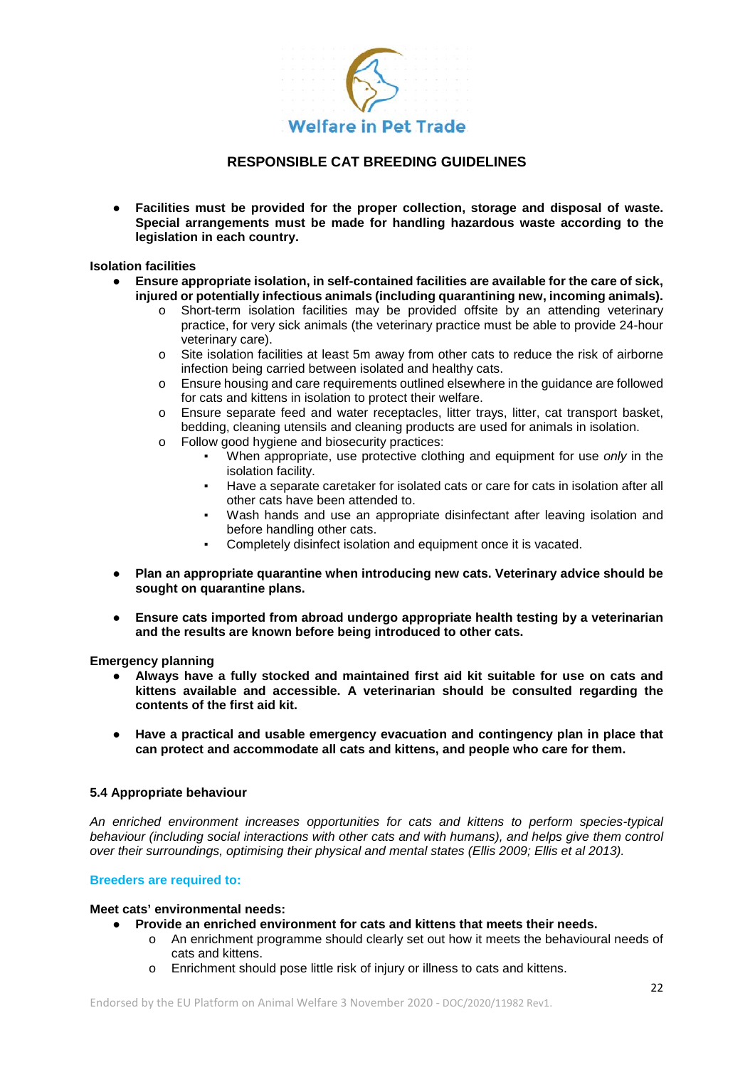

● **Facilities must be provided for the proper collection, storage and disposal of waste. Special arrangements must be made for handling hazardous waste according to the legislation in each country.**

#### **Isolation facilities**

- **Ensure appropriate isolation, in self-contained facilities are available for the care of sick, injured or potentially infectious animals (including quarantining new, incoming animals).** 
	- o Short-term isolation facilities may be provided offsite by an attending veterinary practice, for very sick animals (the veterinary practice must be able to provide 24-hour veterinary care).
	- o Site isolation facilities at least 5m away from other cats to reduce the risk of airborne infection being carried between isolated and healthy cats.
	- o Ensure housing and care requirements outlined elsewhere in the guidance are followed for cats and kittens in isolation to protect their welfare.
	- o Ensure separate feed and water receptacles, litter trays, litter, cat transport basket, bedding, cleaning utensils and cleaning products are used for animals in isolation.
	- o Follow good hygiene and biosecurity practices:
		- When appropriate, use protective clothing and equipment for use *only* in the isolation facility.
		- Have a separate caretaker for isolated cats or care for cats in isolation after all other cats have been attended to.
		- Wash hands and use an appropriate disinfectant after leaving isolation and before handling other cats.
		- Completely disinfect isolation and equipment once it is vacated.
- **Plan an appropriate quarantine when introducing new cats. Veterinary advice should be sought on quarantine plans.**
- **Ensure cats imported from abroad undergo appropriate health testing by a veterinarian and the results are known before being introduced to other cats.**

**Emergency planning**

- **Always have a fully stocked and maintained first aid kit suitable for use on cats and kittens available and accessible. A veterinarian should be consulted regarding the contents of the first aid kit.**
- **Have a practical and usable emergency evacuation and contingency plan in place that can protect and accommodate all cats and kittens, and people who care for them.**

### **5.4 Appropriate behaviour**

*An enriched environment increases opportunities for cats and kittens to perform species-typical behaviour (including social interactions with other cats and with humans), and helps give them control over their surroundings, optimising their physical and mental states (Ellis 2009; Ellis et al 2013).* 

### **Breeders are required to:**

#### **Meet cats' environmental needs:**

- **Provide an enriched environment for cats and kittens that meets their needs.**
	- o An enrichment programme should clearly set out how it meets the behavioural needs of cats and kittens.
	- o Enrichment should pose little risk of injury or illness to cats and kittens.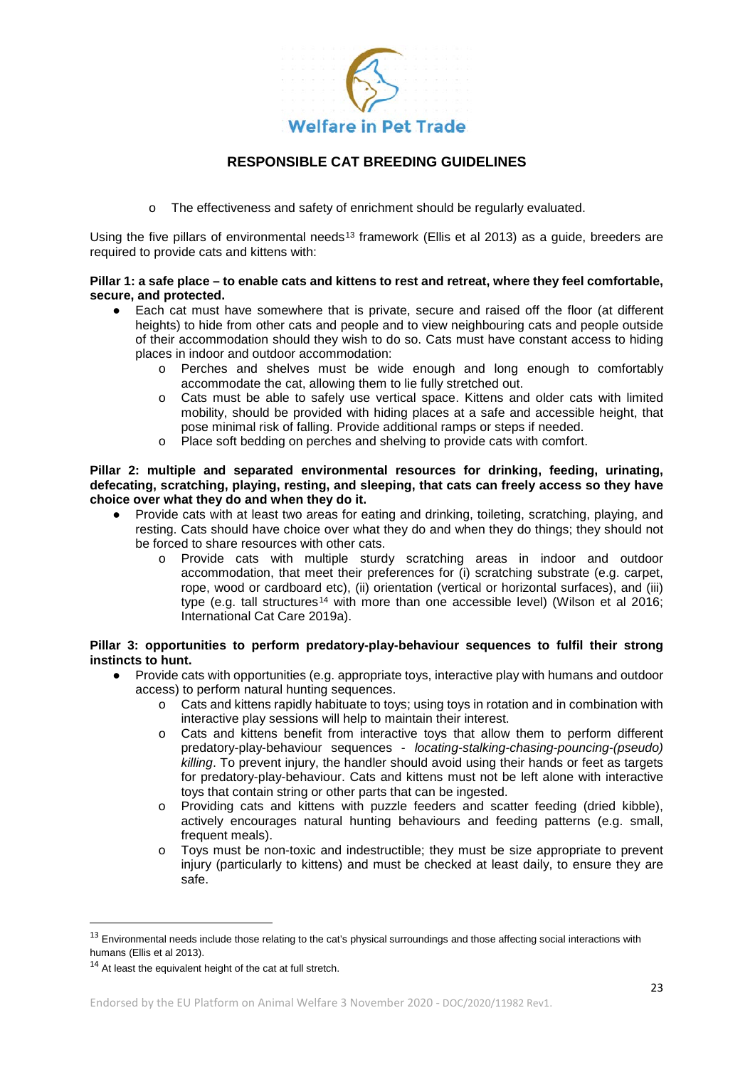

o The effectiveness and safety of enrichment should be regularly evaluated.

Using the five pillars of environmental needs<sup>[13](#page-22-0)</sup> framework (Ellis et al 2013) as a guide, breeders are required to provide cats and kittens with:

### **Pillar 1: a safe place – to enable cats and kittens to rest and retreat, where they feel comfortable, secure, and protected.**

- Each cat must have somewhere that is private, secure and raised off the floor (at different heights) to hide from other cats and people and to view neighbouring cats and people outside of their accommodation should they wish to do so. Cats must have constant access to hiding places in indoor and outdoor accommodation:
	- o Perches and shelves must be wide enough and long enough to comfortably accommodate the cat, allowing them to lie fully stretched out.
	- o Cats must be able to safely use vertical space. Kittens and older cats with limited mobility, should be provided with hiding places at a safe and accessible height, that pose minimal risk of falling. Provide additional ramps or steps if needed.
	- o Place soft bedding on perches and shelving to provide cats with comfort.

#### **Pillar 2: multiple and separated environmental resources for drinking, feeding, urinating, defecating, scratching, playing, resting, and sleeping, that cats can freely access so they have choice over what they do and when they do it.**

- Provide cats with at least two areas for eating and drinking, toileting, scratching, playing, and resting. Cats should have choice over what they do and when they do things; they should not be forced to share resources with other cats.
	- o Provide cats with multiple sturdy scratching areas in indoor and outdoor accommodation, that meet their preferences for (i) scratching substrate (e.g. carpet, rope, wood or cardboard etc), (ii) orientation (vertical or horizontal surfaces), and (iii) type (e.g. tall structures<sup>[14](#page-22-1)</sup> with more than one accessible level) (Wilson et al 2016; International Cat Care 2019a).

#### **Pillar 3: opportunities to perform predatory-play-behaviour sequences to fulfil their strong instincts to hunt.**

- Provide cats with opportunities (e.g. appropriate toys, interactive play with humans and outdoor access) to perform natural hunting sequences.
	- $\circ$  Cats and kittens rapidly habituate to toys; using toys in rotation and in combination with interactive play sessions will help to maintain their interest.
	- o Cats and kittens benefit from interactive toys that allow them to perform different predatory-play-behaviour sequences - *locating-stalking-chasing-pouncing-(pseudo) killing*. To prevent injury, the handler should avoid using their hands or feet as targets for predatory-play-behaviour. Cats and kittens must not be left alone with interactive toys that contain string or other parts that can be ingested.
	- o Providing cats and kittens with puzzle feeders and scatter feeding (dried kibble), actively encourages natural hunting behaviours and feeding patterns (e.g. small, frequent meals).
	- o Toys must be non-toxic and indestructible; they must be size appropriate to prevent injury (particularly to kittens) and must be checked at least daily, to ensure they are safe.

<span id="page-22-0"></span><sup>13</sup> Environmental needs include those relating to the cat's physical surroundings and those affecting social interactions with humans (Ellis et al 2013).

<span id="page-22-1"></span> $14$  At least the equivalent height of the cat at full stretch.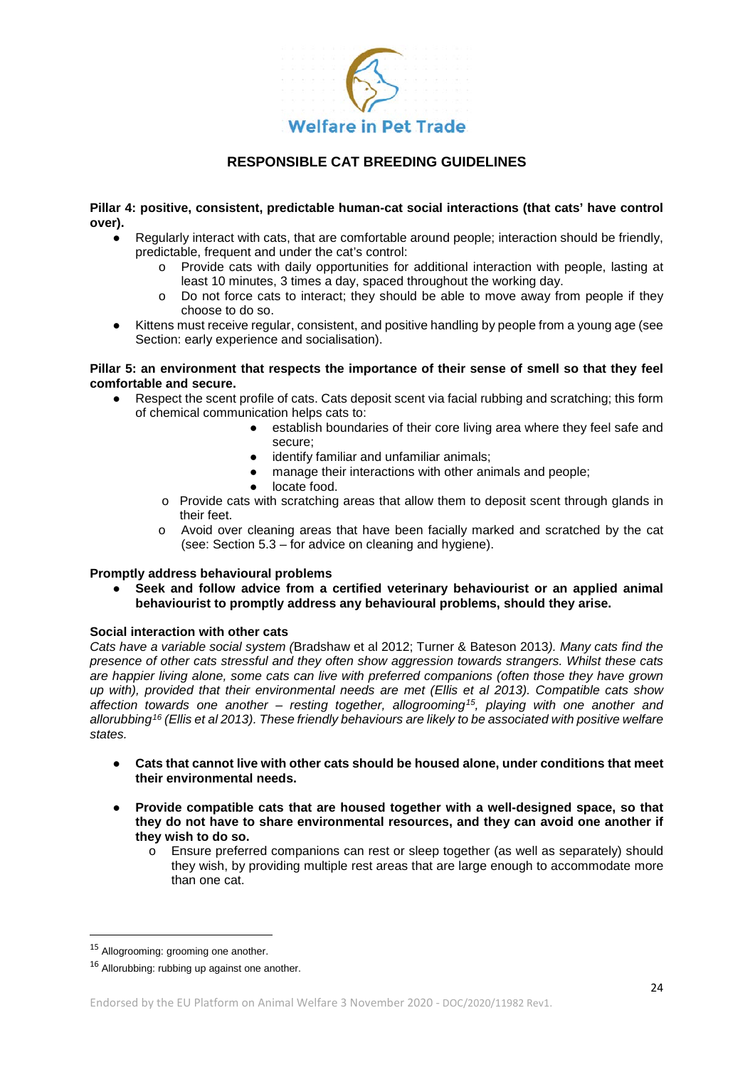

**Pillar 4: positive, consistent, predictable human-cat social interactions (that cats' have control over).**

- Regularly interact with cats, that are comfortable around people; interaction should be friendly, predictable, frequent and under the cat's control:
	- o Provide cats with daily opportunities for additional interaction with people, lasting at least 10 minutes, 3 times a day, spaced throughout the working day.
	- o Do not force cats to interact; they should be able to move away from people if they choose to do so.
- Kittens must receive regular, consistent, and positive handling by people from a young age (see Section: early experience and socialisation).

#### **Pillar 5: an environment that respects the importance of their sense of smell so that they feel comfortable and secure.**

- Respect the scent profile of cats. Cats deposit scent via facial rubbing and scratching; this form of chemical communication helps cats to:
	- establish boundaries of their core living area where they feel safe and secure;
	- identify familiar and unfamiliar animals;
	- manage their interactions with other animals and people;
	- locate food.
	- $\circ$  Provide cats with scratching areas that allow them to deposit scent through glands in their feet.
	- o Avoid over cleaning areas that have been facially marked and scratched by the cat (see: Section 5.3 – for advice on cleaning and hygiene).

### **Promptly address behavioural problems**

Seek and follow advice from a certified veterinary behaviourist or an applied animal **behaviourist to promptly address any behavioural problems, should they arise.**

#### **Social interaction with other cats**

*Cats have a variable social system (*Bradshaw et al 2012; Turner & Bateson 2013*). Many cats find the presence of other cats stressful and they often show aggression towards strangers. Whilst these cats are happier living alone, some cats can live with preferred companions (often those they have grown up with), provided that their environmental needs are met (Ellis et al 2013). Compatible cats show affection towards one another – resting together, allogrooming[15,](#page-23-0) playing with one another and allorubbing[16](#page-23-1) (Ellis et al 2013). These friendly behaviours are likely to be associated with positive welfare states.* 

- **Cats that cannot live with other cats should be housed alone, under conditions that meet their environmental needs.**
- **Provide compatible cats that are housed together with a well-designed space, so that they do not have to share environmental resources, and they can avoid one another if they wish to do so.** 
	- o Ensure preferred companions can rest or sleep together (as well as separately) should they wish, by providing multiple rest areas that are large enough to accommodate more than one cat.

<span id="page-23-0"></span><sup>&</sup>lt;sup>15</sup> Allogrooming: grooming one another.

<span id="page-23-1"></span><sup>&</sup>lt;sup>16</sup> Allorubbing: rubbing up against one another.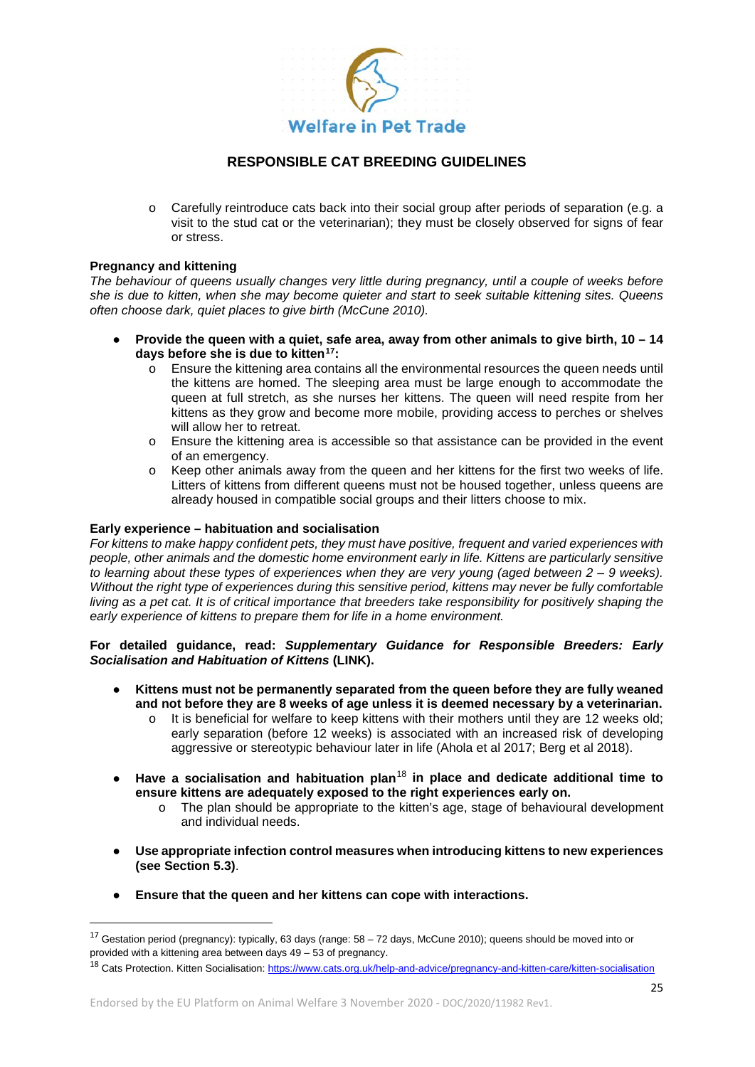

Carefully reintroduce cats back into their social group after periods of separation (e.g. a visit to the stud cat or the veterinarian); they must be closely observed for signs of fear or stress.

#### **Pregnancy and kittening**

*The behaviour of queens usually changes very little during pregnancy, until a couple of weeks before she is due to kitten, when she may become quieter and start to seek suitable kittening sites. Queens often choose dark, quiet places to give birth (McCune 2010).*

- **Provide the queen with a quiet, safe area, away from other animals to give birth, 10 – 14 days before she is due to kitten[17](#page-24-0):**
	- o Ensure the kittening area contains all the environmental resources the queen needs until the kittens are homed. The sleeping area must be large enough to accommodate the queen at full stretch, as she nurses her kittens. The queen will need respite from her kittens as they grow and become more mobile, providing access to perches or shelves will allow her to retreat.
	- o Ensure the kittening area is accessible so that assistance can be provided in the event of an emergency.
	- o Keep other animals away from the queen and her kittens for the first two weeks of life. Litters of kittens from different queens must not be housed together, unless queens are already housed in compatible social groups and their litters choose to mix.

#### **Early experience – habituation and socialisation**

*For kittens to make happy confident pets, they must have positive, frequent and varied experiences with people, other animals and the domestic home environment early in life. Kittens are particularly sensitive to learning about these types of experiences when they are very young (aged between 2 – 9 weeks). Without the right type of experiences during this sensitive period, kittens may never be fully comfortable living as a pet cat. It is of critical importance that breeders take responsibility for positively shaping the early experience of kittens to prepare them for life in a home environment.*

### **For detailed guidance, read:** *Supplementary Guidance for Responsible Breeders: Early Socialisation and Habituation of Kittens* **(LINK).**

- **Kittens must not be permanently separated from the queen before they are fully weaned and not before they are 8 weeks of age unless it is deemed necessary by a veterinarian.**
	- o It is beneficial for welfare to keep kittens with their mothers until they are 12 weeks old; early separation (before 12 weeks) is associated with an increased risk of developing aggressive or stereotypic behaviour later in life (Ahola et al 2017; Berg et al 2018).
- **Have a socialisation and habituation plan**[18](#page-24-1) **in place and dedicate additional time to ensure kittens are adequately exposed to the right experiences early on.**
	- o The plan should be appropriate to the kitten's age, stage of behavioural development and individual needs.
- **Use appropriate infection control measures when introducing kittens to new experiences (see Section 5.3)**.
- **Ensure that the queen and her kittens can cope with interactions.**

<span id="page-24-0"></span> <sup>17</sup> Gestation period (pregnancy): typically, 63 days (range: 58 – 72 days, McCune 2010); queens should be moved into or provided with a kittening area between days 49 – 53 of pregnancy.

<span id="page-24-1"></span><sup>18</sup> Cats Protection. Kitten Socialisation[: https://www.cats.org.uk/help-and-advice/pregnancy-and-kitten-care/kitten-socialisation](https://www.cats.org.uk/help-and-advice/pregnancy-and-kitten-care/kitten-socialisation)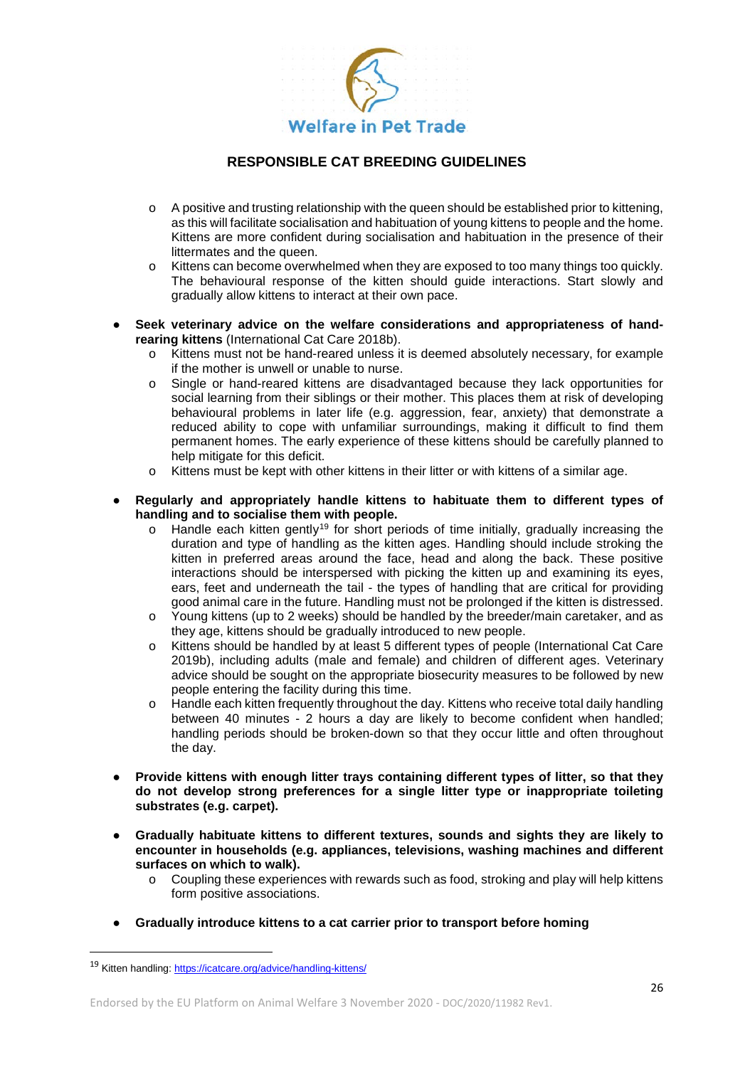

- $\circ$  A positive and trusting relationship with the queen should be established prior to kittening, as this will facilitate socialisation and habituation of young kittens to people and the home. Kittens are more confident during socialisation and habituation in the presence of their littermates and the queen.
- o Kittens can become overwhelmed when they are exposed to too many things too quickly. The behavioural response of the kitten should guide interactions. Start slowly and gradually allow kittens to interact at their own pace.
- Seek veterinary advice on the welfare considerations and appropriateness of hand**rearing kittens** (International Cat Care 2018b).
	- o Kittens must not be hand-reared unless it is deemed absolutely necessary, for example if the mother is unwell or unable to nurse.
	- o Single or hand-reared kittens are disadvantaged because they lack opportunities for social learning from their siblings or their mother. This places them at risk of developing behavioural problems in later life (e.g. aggression, fear, anxiety) that demonstrate a reduced ability to cope with unfamiliar surroundings, making it difficult to find them permanent homes. The early experience of these kittens should be carefully planned to help mitigate for this deficit.
	- o Kittens must be kept with other kittens in their litter or with kittens of a similar age.
- Regularly and appropriately handle kittens to habituate them to different types of **handling and to socialise them with people.**
	- $\circ$  Handle each kitten gently<sup>[19](#page-25-0)</sup> for short periods of time initially, gradually increasing the duration and type of handling as the kitten ages. Handling should include stroking the kitten in preferred areas around the face, head and along the back. These positive interactions should be interspersed with picking the kitten up and examining its eyes, ears, feet and underneath the tail - the types of handling that are critical for providing good animal care in the future. Handling must not be prolonged if the kitten is distressed.
	- o Young kittens (up to 2 weeks) should be handled by the breeder/main caretaker, and as they age, kittens should be gradually introduced to new people.
	- o Kittens should be handled by at least 5 different types of people (International Cat Care 2019b), including adults (male and female) and children of different ages. Veterinary advice should be sought on the appropriate biosecurity measures to be followed by new people entering the facility during this time.
	- o Handle each kitten frequently throughout the day. Kittens who receive total daily handling between 40 minutes - 2 hours a day are likely to become confident when handled; handling periods should be broken-down so that they occur little and often throughout the day.
- **Provide kittens with enough litter trays containing different types of litter, so that they do not develop strong preferences for a single litter type or inappropriate toileting substrates (e.g. carpet).**
- **Gradually habituate kittens to different textures, sounds and sights they are likely to encounter in households (e.g. appliances, televisions, washing machines and different surfaces on which to walk).**
	- o Coupling these experiences with rewards such as food, stroking and play will help kittens form positive associations.
- **Gradually introduce kittens to a cat carrier prior to transport before homing**

<span id="page-25-0"></span> <sup>19</sup> Kitten handling[: https://icatcare.org/advice/handling-kittens/](https://icatcare.org/advice/handling-kittens/)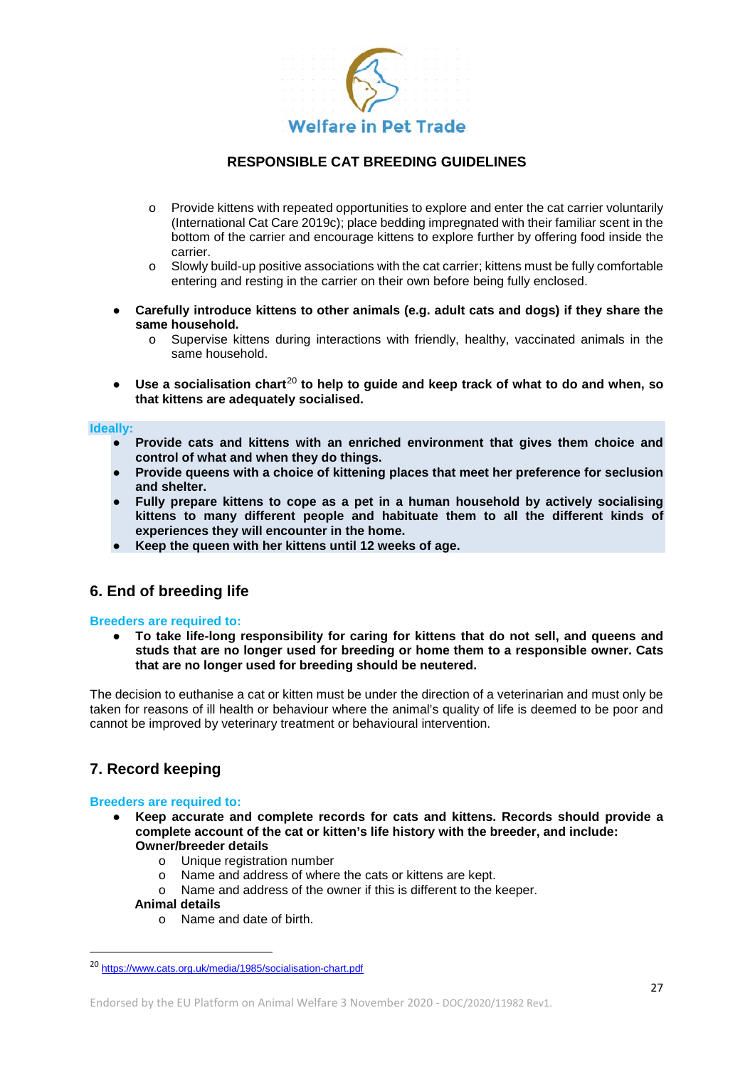

- o Provide kittens with repeated opportunities to explore and enter the cat carrier voluntarily (International Cat Care 2019c); place bedding impregnated with their familiar scent in the bottom of the carrier and encourage kittens to explore further by offering food inside the carrier.
- $\circ$  Slowly build-up positive associations with the cat carrier; kittens must be fully comfortable entering and resting in the carrier on their own before being fully enclosed.
- Carefully introduce kittens to other animals (e.g. adult cats and dogs) if they share the **same household.**
	- o Supervise kittens during interactions with friendly, healthy, vaccinated animals in the same household.
- Use a socialisation chart<sup>[20](#page-26-0)</sup> to help to quide and keep track of what to do and when, so **that kittens are adequately socialised.**

#### **Ideally:**

- **Provide cats and kittens with an enriched environment that gives them choice and control of what and when they do things.**
- **Provide queens with a choice of kittening places that meet her preference for seclusion and shelter.**
- **Fully prepare kittens to cope as a pet in a human household by actively socialising kittens to many different people and habituate them to all the different kinds of experiences they will encounter in the home.**
- **Keep the queen with her kittens until 12 weeks of age.**

### **6. End of breeding life**

#### **Breeders are required to:**

To take life-long responsibility for caring for kittens that do not sell, and queens and **studs that are no longer used for breeding or home them to a responsible owner. Cats that are no longer used for breeding should be neutered.**

The decision to euthanise a cat or kitten must be under the direction of a veterinarian and must only be taken for reasons of ill health or behaviour where the animal's quality of life is deemed to be poor and cannot be improved by veterinary treatment or behavioural intervention.

# **7. Record keeping**

#### **Breeders are required to:**

- **Keep accurate and complete records for cats and kittens. Records should provide a complete account of the cat or kitten's life history with the breeder, and include: Owner/breeder details**
	- o Unique registration number
	- o Name and address of where the cats or kittens are kept.<br>O Name and address of the owner if this is different to the l
	- Name and address of the owner if this is different to the keeper.

#### **Animal details**

o Name and date of birth.

<span id="page-26-0"></span> <sup>20</sup> <https://www.cats.org.uk/media/1985/socialisation-chart.pdf>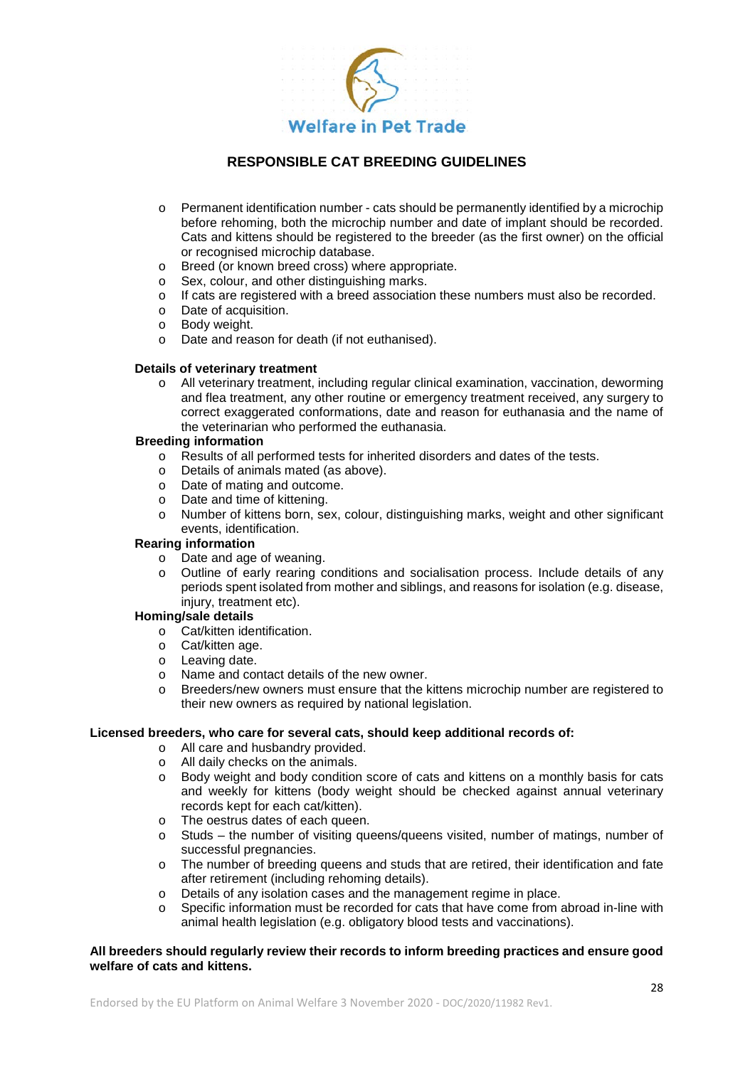

- o Permanent identification number cats should be permanently identified by a microchip before rehoming, both the microchip number and date of implant should be recorded. Cats and kittens should be registered to the breeder (as the first owner) on the official or recognised microchip database.
- o Breed (or known breed cross) where appropriate.<br>
o Sex. colour. and other distinguishing marks
- Sex, colour, and other distinguishing marks.
- o If cats are registered with a breed association these numbers must also be recorded.
- o Date of acquisition.
- o Body weight.
- o Date and reason for death (if not euthanised).

#### **Details of veterinary treatment**

o All veterinary treatment, including regular clinical examination, vaccination, deworming and flea treatment, any other routine or emergency treatment received, any surgery to correct exaggerated conformations, date and reason for euthanasia and the name of the veterinarian who performed the euthanasia.

#### **Breeding information**

- o Results of all performed tests for inherited disorders and dates of the tests.
- o Details of animals mated (as above).
- o Date of mating and outcome.
- o Date and time of kittening.
- o Number of kittens born, sex, colour, distinguishing marks, weight and other significant events, identification.

#### **Rearing information**

- o Date and age of weaning.
- o Outline of early rearing conditions and socialisation process. Include details of any periods spent isolated from mother and siblings, and reasons for isolation (e.g. disease, injury, treatment etc).

#### **Homing/sale details**

- o Cat/kitten identification.
- o Cat/kitten age.
- o Leaving date.
- o Name and contact details of the new owner.
- o Breeders/new owners must ensure that the kittens microchip number are registered to their new owners as required by national legislation.

#### **Licensed breeders, who care for several cats, should keep additional records of:**

- o All care and husbandry provided.
- o All daily checks on the animals.<br>  $\circ$  Body weight and body condition
- Body weight and body condition score of cats and kittens on a monthly basis for cats and weekly for kittens (body weight should be checked against annual veterinary records kept for each cat/kitten).
- o The oestrus dates of each queen.
- o Studs the number of visiting queens/queens visited, number of matings, number of successful pregnancies.
- o The number of breeding queens and studs that are retired, their identification and fate after retirement (including rehoming details).
- o Details of any isolation cases and the management regime in place.<br>
Specific information must be recorded for cats that have come from a
- Specific information must be recorded for cats that have come from abroad in-line with animal health legislation (e.g. obligatory blood tests and vaccinations).

#### **All breeders should regularly review their records to inform breeding practices and ensure good welfare of cats and kittens.**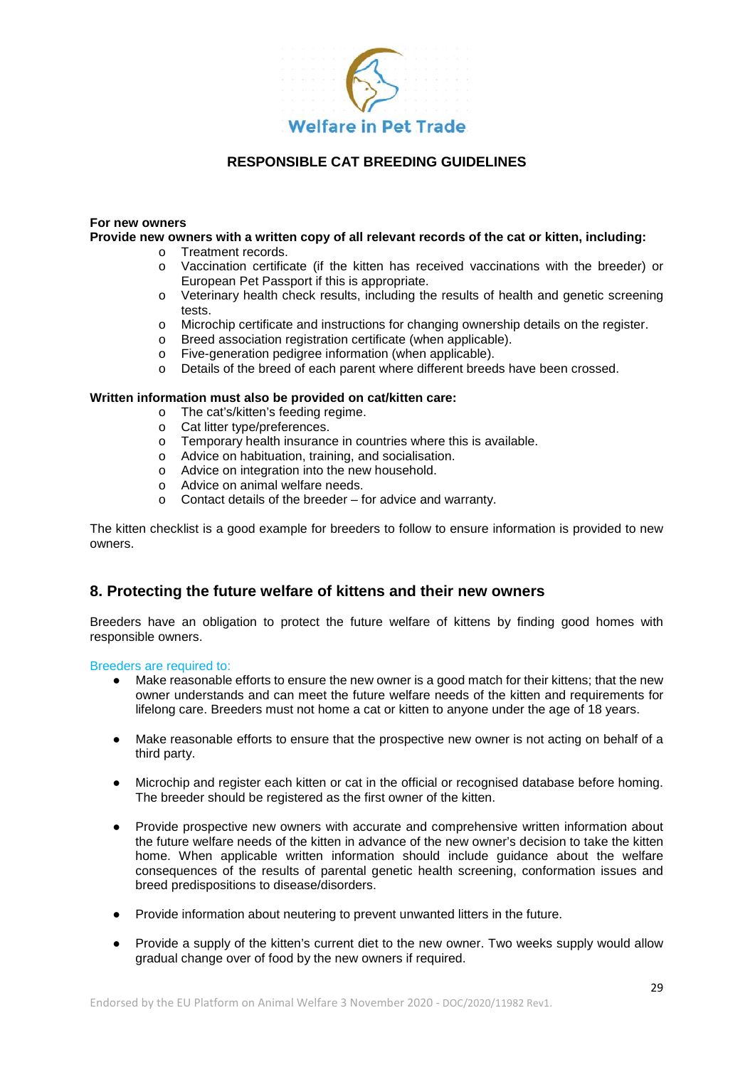

#### **For new owners**

#### **Provide new owners with a written copy of all relevant records of the cat or kitten, including:**

- o Treatment records.
- o Vaccination certificate (if the kitten has received vaccinations with the breeder) or European Pet Passport if this is appropriate.
- o Veterinary health check results, including the results of health and genetic screening tests.
- o Microchip certificate and instructions for changing ownership details on the register.
- o Breed association registration certificate (when applicable).
- o Five-generation pedigree information (when applicable).
- o Details of the breed of each parent where different breeds have been crossed.

#### **Written information must also be provided on cat/kitten care:**

- o The cat's/kitten's feeding regime.
- o Cat litter type/preferences.
- o Temporary health insurance in countries where this is available.
- o Advice on habituation, training, and socialisation.
- o Advice on integration into the new household.
- o Advice on animal welfare needs.
- o Contact details of the breeder for advice and warranty.

The kitten checklist is a good example for breeders to follow to ensure information is provided to new owners.

# **8. Protecting the future welfare of kittens and their new owners**

Breeders have an obligation to protect the future welfare of kittens by finding good homes with responsible owners.

Breeders are required to:

- Make reasonable efforts to ensure the new owner is a good match for their kittens; that the new owner understands and can meet the future welfare needs of the kitten and requirements for lifelong care. Breeders must not home a cat or kitten to anyone under the age of 18 years.
- Make reasonable efforts to ensure that the prospective new owner is not acting on behalf of a third party.
- Microchip and register each kitten or cat in the official or recognised database before homing. The breeder should be registered as the first owner of the kitten.
- Provide prospective new owners with accurate and comprehensive written information about the future welfare needs of the kitten in advance of the new owner's decision to take the kitten home. When applicable written information should include guidance about the welfare consequences of the results of parental genetic health screening, conformation issues and breed predispositions to disease/disorders.
- Provide information about neutering to prevent unwanted litters in the future.
- Provide a supply of the kitten's current diet to the new owner. Two weeks supply would allow gradual change over of food by the new owners if required.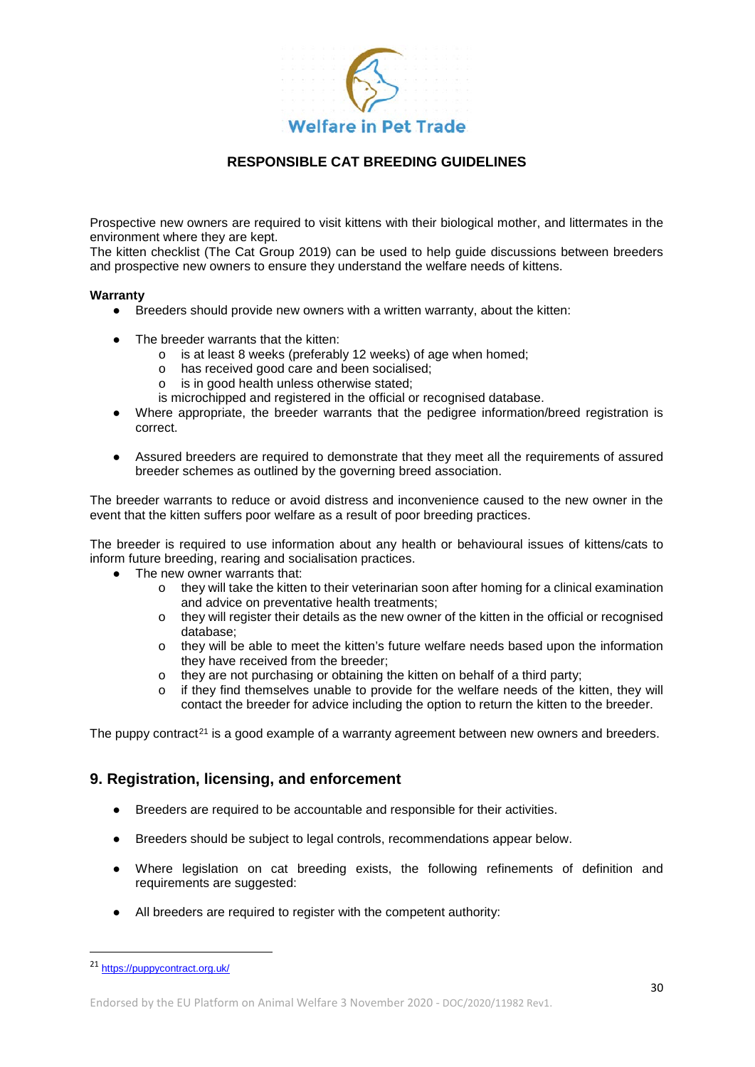

Prospective new owners are required to visit kittens with their biological mother, and littermates in the environment where they are kept.

The kitten checklist (The Cat Group 2019) can be used to help guide discussions between breeders and prospective new owners to ensure they understand the welfare needs of kittens.

#### **Warranty**

- Breeders should provide new owners with a written warranty, about the kitten:
- The breeder warrants that the kitten:
	- o is at least 8 weeks (preferably 12 weeks) of age when homed;
	- o has received good care and been socialised;
	- o is in good health unless otherwise stated;
	- is microchipped and registered in the official or recognised database.
- Where appropriate, the breeder warrants that the pedigree information/breed registration is correct.
- Assured breeders are required to demonstrate that they meet all the requirements of assured breeder schemes as outlined by the governing breed association.

The breeder warrants to reduce or avoid distress and inconvenience caused to the new owner in the event that the kitten suffers poor welfare as a result of poor breeding practices.

The breeder is required to use information about any health or behavioural issues of kittens/cats to inform future breeding, rearing and socialisation practices.

- The new owner warrants that:
	- o they will take the kitten to their veterinarian soon after homing for a clinical examination and advice on preventative health treatments;
	- o they will register their details as the new owner of the kitten in the official or recognised database;
	- o they will be able to meet the kitten's future welfare needs based upon the information they have received from the breeder;
	- $\circ$  they are not purchasing or obtaining the kitten on behalf of a third party;
	- o if they find themselves unable to provide for the welfare needs of the kitten, they will contact the breeder for advice including the option to return the kitten to the breeder.

The puppy contract<sup>[21](#page-29-0)</sup> is a good example of a warranty agreement between new owners and breeders.

### **9. Registration, licensing, and enforcement**

- Breeders are required to be accountable and responsible for their activities.
- Breeders should be subject to legal controls, recommendations appear below.
- Where legislation on cat breeding exists, the following refinements of definition and requirements are suggested:
- All breeders are required to register with the competent authority:

<span id="page-29-0"></span> <sup>21</sup> <https://puppycontract.org.uk/>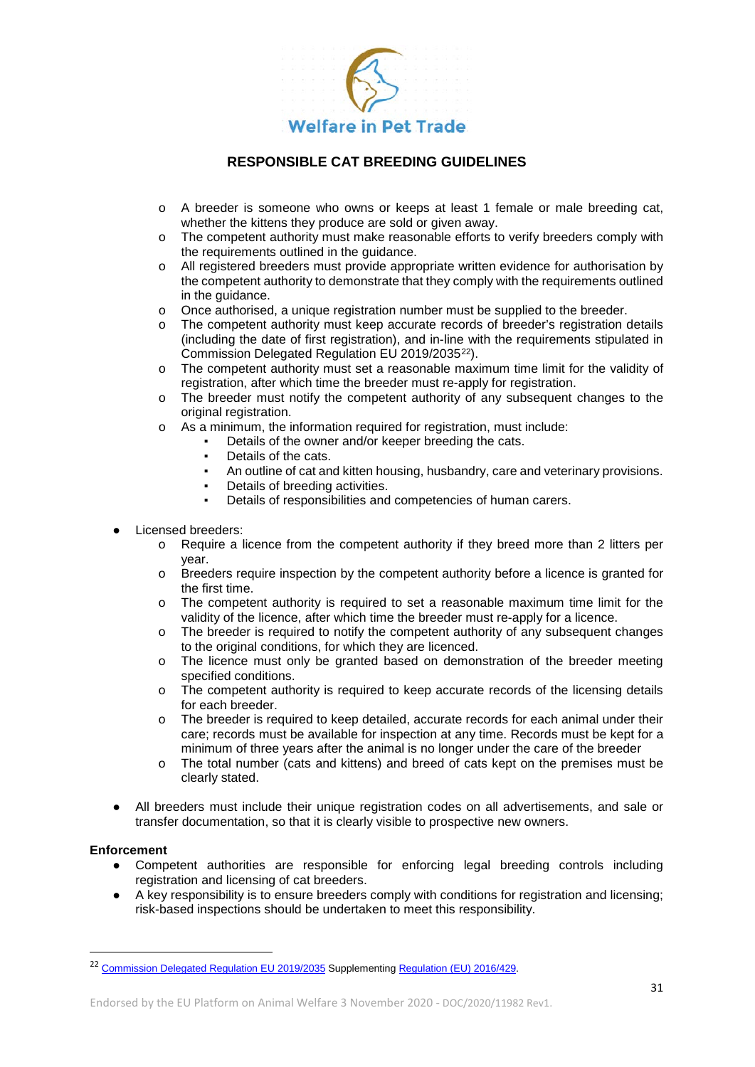

- o A breeder is someone who owns or keeps at least 1 female or male breeding cat, whether the kittens they produce are sold or given away.
- o The competent authority must make reasonable efforts to verify breeders comply with the requirements outlined in the guidance.
- o All registered breeders must provide appropriate written evidence for authorisation by the competent authority to demonstrate that they comply with the requirements outlined in the guidance.
- o Once authorised, a unique registration number must be supplied to the breeder.
- o The competent authority must keep accurate records of breeder's registration details (including the date of first registration), and in-line with the requirements stipulated in Commission Delegated Regulation EU 2019/2035<sup>[22](#page-30-0)</sup>).
- o The competent authority must set a reasonable maximum time limit for the validity of registration, after which time the breeder must re-apply for registration.
- $\circ$  The breeder must notify the competent authority of any subsequent changes to the original registration.
- $\circ$  As a minimum, the information required for registration, must include:
	- Details of the owner and/or keeper breeding the cats.
	- Details of the cats.
	- An outline of cat and kitten housing, husbandry, care and veterinary provisions.
	- Details of breeding activities.
	- Details of responsibilities and competencies of human carers.
- Licensed breeders:
	- o Require a licence from the competent authority if they breed more than 2 litters per year.
	- o Breeders require inspection by the competent authority before a licence is granted for the first time.
	- o The competent authority is required to set a reasonable maximum time limit for the validity of the licence, after which time the breeder must re-apply for a licence.
	- o The breeder is required to notify the competent authority of any subsequent changes to the original conditions, for which they are licenced.
	- o The licence must only be granted based on demonstration of the breeder meeting specified conditions.
	- o The competent authority is required to keep accurate records of the licensing details for each breeder.
	- o The breeder is required to keep detailed, accurate records for each animal under their care; records must be available for inspection at any time. Records must be kept for a minimum of three years after the animal is no longer under the care of the breeder
	- o The total number (cats and kittens) and breed of cats kept on the premises must be clearly stated.
- All breeders must include their unique registration codes on all advertisements, and sale or transfer documentation, so that it is clearly visible to prospective new owners.

#### **Enforcement**

- Competent authorities are responsible for enforcing legal breeding controls including registration and licensing of cat breeders.
- A key responsibility is to ensure breeders comply with conditions for registration and licensing; risk-based inspections should be undertaken to meet this responsibility.

<span id="page-30-0"></span><sup>&</sup>lt;sup>22</sup> [Commission Delegated Regulation EU 2019/2035](https://eur-lex.europa.eu/legal-content/en/ALL/?uri=CELEX:32019R2035) Supplementin[g Regulation \(EU\) 2016/429.](https://eur-lex.europa.eu/legal-content/EN/TXT/?qid=1592306909780&uri=CELEX:32016R0429)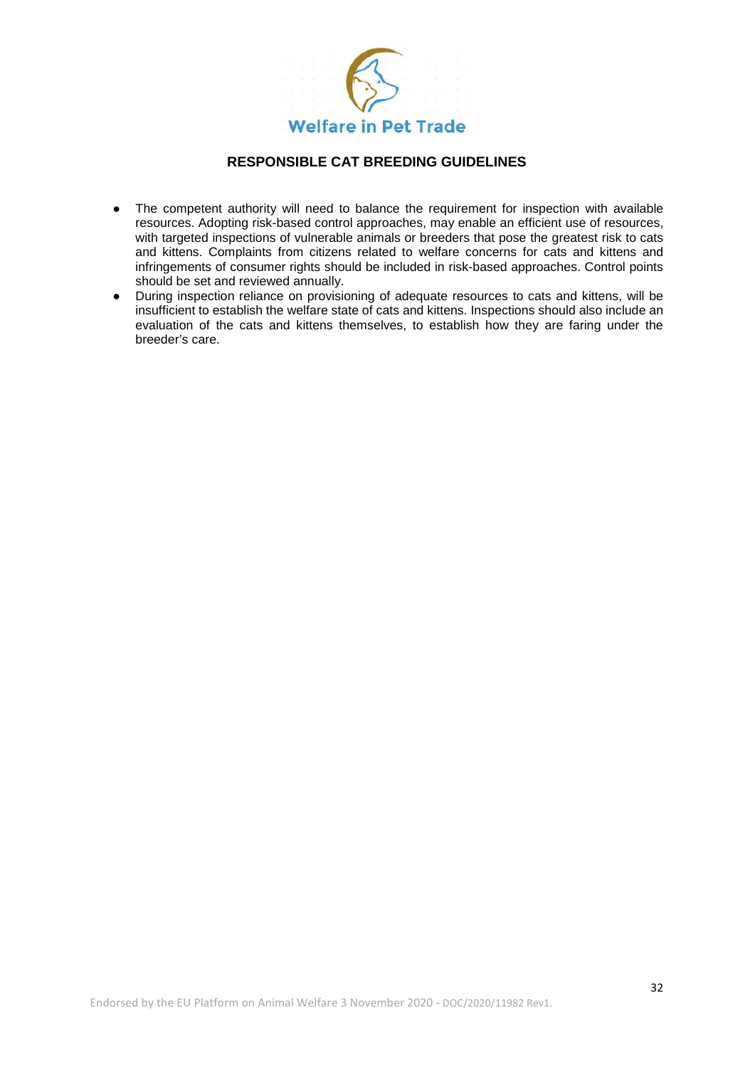

- The competent authority will need to balance the requirement for inspection with available resources. Adopting risk-based control approaches, may enable an efficient use of resources, with targeted inspections of vulnerable animals or breeders that pose the greatest risk to cats and kittens. Complaints from citizens related to welfare concerns for cats and kittens and infringements of consumer rights should be included in risk-based approaches. Control points should be set and reviewed annually.
- During inspection reliance on provisioning of adequate resources to cats and kittens, will be insufficient to establish the welfare state of cats and kittens. Inspections should also include an evaluation of the cats and kittens themselves, to establish how they are faring under the breeder's care.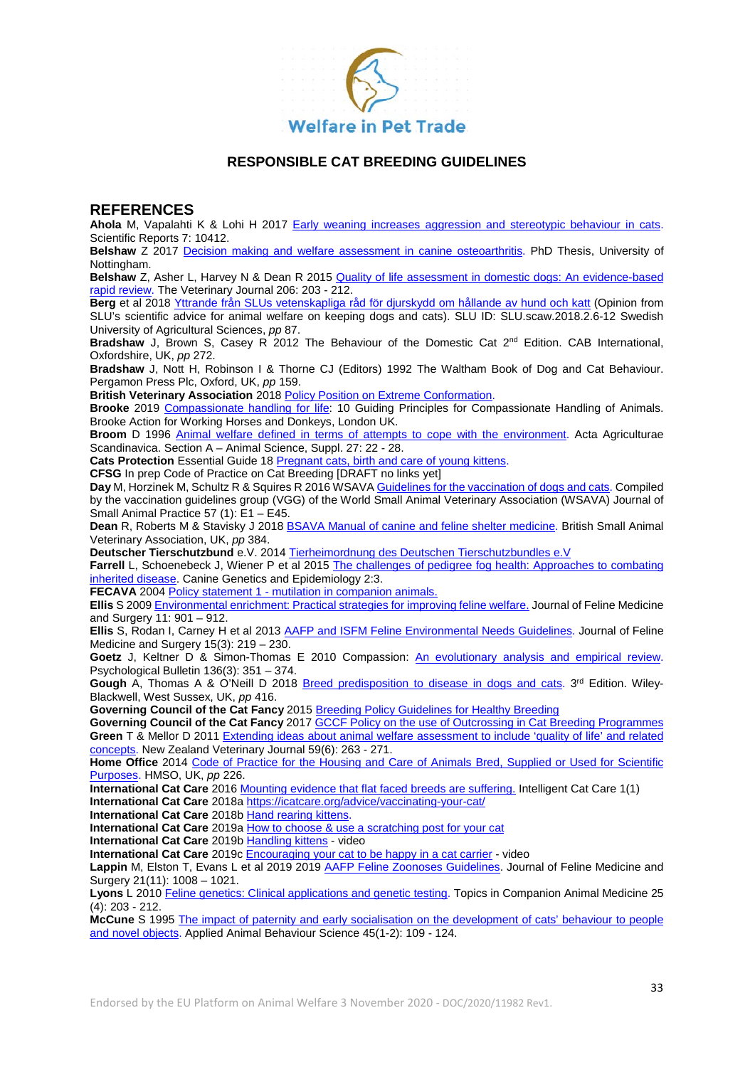

### **REFERENCES**

**Ahola** M, Vapalahti K & Lohi H 2017 [Early weaning increases aggression and stereotypic behaviour in cats.](https://www.nature.com/articles/s41598-017-11173-5) Scientific Reports 7: 10412.

**Belshaw** Z 2017 [Decision making and welfare assessment in canine osteoarthritis.](http://eprints.nottingham.ac.uk/42077/1/Final%20thesis%20word%20typos%20corrected.pdf) PhD Thesis, University of Nottingham.

**Belshaw** Z, Asher L, Harvey N & Dean R 2015 [Quality of life assessment in domestic dogs: An evidence-based](https://www.sciencedirect.com/science/article/pii/S109002331500307X)  [rapid review.](https://www.sciencedirect.com/science/article/pii/S109002331500307X) The Veterinary Journal 206: 203 - 212.

**Berg** et al 2018 [Yttrande från SLUs vetenskapliga råd för djurskydd om hållande av hund och katt](https://www.slu.se/globalassets/ew/org/centrb/scaw-nationellt-centrum-for-djurvalfard/vetenskapliga-radet/yttrande-om-hallande-av-hund-och-katt---slus-vetenskapliga-rad-for-djurskydd.pdf) (Opinion from SLU's scientific advice for animal welfare on keeping dogs and cats). SLU ID: SLU.scaw.2018.2.6-12 Swedish University of Agricultural Sciences, *pp* 87.

**Bradshaw** J, Brown S, Casey R 2012 The Behaviour of the Domestic Cat 2nd Edition. CAB International, Oxfordshire, UK, *pp* 272.

**Bradshaw** J, Nott H, Robinson I & Thorne CJ (Editors) 1992 The Waltham Book of Dog and Cat Behaviour. Pergamon Press Plc, Oxford, UK, *pp* 159.

**British Veterinary Association** 201[8 Policy Position on Extreme Conformation.](https://www.bva.co.uk/take-action/our-policies/extreme-conformation/)

**Brooke** 2019 [Compassionate handling for life:](https://www.thebrooke.org/our-work/we-work-animals/compassionate-handling) 10 Guiding Principles for Compassionate Handling of Animals. Brooke Action for Working Horses and Donkeys, London UK.

**Broom** D 1996 [Animal welfare defined in terms of attempts to cope with the environment.](https://www.researchgate.net/publication/301650716_Animal_welfare_defined_in_terms_of_attempts_to_cope_with_the_environment) Acta Agriculturae Scandinavica. Section A – Animal Science, Suppl. 27: 22 - 28.

Cats Protection Essential Guide 18 [Pregnant cats, birth and care of young kittens.](https://www.cats.org.uk/media/1029/eg18_pregnant_cats-_birth_and_care_of_young_kittens.pdf)

**CFSG** In prep Code of Practice on Cat Breeding [DRAFT no links yet]

**Day** M, Horzinek M, Schultz R & Squires R 2016 WSAV[A Guidelines for the vaccination of dogs and cats.](https://wsava.org/wp-content/uploads/2020/01/WSAVA-Vaccination-Guidelines-2015.pdf) Compiled by the vaccination guidelines group (VGG) of the World Small Animal Veterinary Association (WSAVA) Journal of Small Animal Practice 57 (1): E1 – E45.

**Dean** R, Roberts M & Stavisky J 2018 [BSAVA Manual of canine and feline shelter medicine.](https://www.bsavalibrary.com/content/book/10.22233/9781910443330) British Small Animal Veterinary Association, UK, *pp* 384.

**Deutscher Tierschutzbund** e.V. 2014 [Tierheimordnung des Deutschen Tierschutzbundles e.V](https://www.tierschutzbund.de/fileadmin/user_upload/Downloads/Organisation/Tierheimordnung.pdf)

**Farrell** L, Schoenebeck J, Wiener P et al 2015 [The challenges of pedigree fog health: Approaches to combating](https://link.springer.com/content/pdf/10.1186/s40575-015-0014-9.pdf)  [inherited disease.](https://link.springer.com/content/pdf/10.1186/s40575-015-0014-9.pdf) Canine Genetics and Epidemiology 2:3.

**FECAVA** 2004 Policy statement 1 - [mutilation in companion animals.](https://www.fecava.org/wp-content/uploads/2019/03/Policy-statement-1-mutilation-in-companion-animals.pdf)

**Ellis** S 2009 [Environmental enrichment: Practical strategies for improving feline welfare.](https://journals.sagepub.com/doi/10.1016/j.jfms.2009.09.011) Journal of Feline Medicine and Surgery 11: 901 – 912.

**Ellis** S, Rodan I, Carney H et al 2013 [AAFP and ISFM Feline Environmental Needs Guidelines.](https://journals.sagepub.com/doi/pdf/10.1177/1098612X13477537) Journal of Feline Medicine and Surgery 15(3): 219 – 230.

**Goetz** J, Keltner D & Simon-Thomas E 2010 Compassion: [An evolutionary analysis and empirical review.](https://psycnet.apa.org/doiLanding?doi=10.1037%2Fa0018807) Psychological Bulletin 136(3): 351 – 374.

Gough A, Thomas A & O'Neill D 2018 [Breed predisposition to disease in dogs and cats.](https://onlinelibrary.wiley.com/doi/book/10.1002/9781119225584) 3<sup>rd</sup> Edition. Wiley-Blackwell, West Sussex, UK, *pp* 416.

**Governing Council of the Cat Fancy** 2015 [Breeding Policy Guidelines for Healthy Breeding](https://www.gccfcats.org/Portals/0/BreedingPolicy.2015.pdf)

Governing Council of the Cat Fancy 2017 **GCCF Policy on the use of Outcrossing in Cat Breeding Programmes Green** T & Mellor D 201[1 Extending ideas about animal welfare assessment to include 'quality of life' and related](https://www.tandfonline.com/doi/full/10.1080/00480169.2011.610283)  [concepts.](https://www.tandfonline.com/doi/full/10.1080/00480169.2011.610283) New Zealand Veterinary Journal 59(6): 263 - 271.

Home Office 2014 Code of Practice for the Housing and Care of Animals Bred, Supplied or Used for Scientific [Purposes.](https://assets.publishing.service.gov.uk/government/uploads/system/uploads/attachment_data/file/388535/CoPanimalsWeb.pdf) HMSO, UK, *pp* 226.

**International Cat Care** 2016 [Mounting evidence that flat faced breeds are suffering.](https://indd.adobe.com/view/24f2cb88-359b-42cc-875c-3b75086eb4fe) Intelligent Cat Care 1(1)

**International Cat Care** 2018[a https://icatcare.org/advice/vaccinating-your-cat/](https://icatcare.org/advice/vaccinating-your-cat/)

**International Cat Care** 2018[b Hand rearing kittens.](https://icatcare.org/advice/hand-rearing-kittens/)

**International Cat Care** 2019[a How to choose & use a scratching post for your cat](https://icatcare.org/advice/how-to-choose-use-a-scratching-post-for-your-cat/)

**International Cat Care** 2019[b Handling kittens](https://icatcare.org/advice/handling-kittens/) - video

**International Cat Care** 2019c [Encouraging your cat to be happy in a cat carrier](https://icatcare.org/advice/encouraging-your-cat-to-be-happy-in-a-cat-carrier-video/) - video

Lappin M, Elston T, Evans L et al 2019 2019 [AAFP Feline Zoonoses Guidelines.](https://journals.sagepub.com/doi/pdf/10.1177/1098612X19880436) Journal of Feline Medicine and Surgery 21(11): 1008 – 1021.

Lyons L 2010 [Feline genetics: Clinical applications and genetic testing.](https://www.ncbi.nlm.nih.gov/pmc/articles/PMC3073564/) Topics in Companion Animal Medicine 25 (4): 203 - 212.

**McCune** S 1995 [The impact of paternity and early socialisation on the development of cats' behaviour to people](https://www.researchgate.net/publication/248335240_The_impact_of_paternity_and_early_socialisation_on_the_development_of_cat%27_behaviour_to_people_and_novel_objects)  [and novel objects.](https://www.researchgate.net/publication/248335240_The_impact_of_paternity_and_early_socialisation_on_the_development_of_cat%27_behaviour_to_people_and_novel_objects) Applied Animal Behaviour Science 45(1-2): 109 - 124.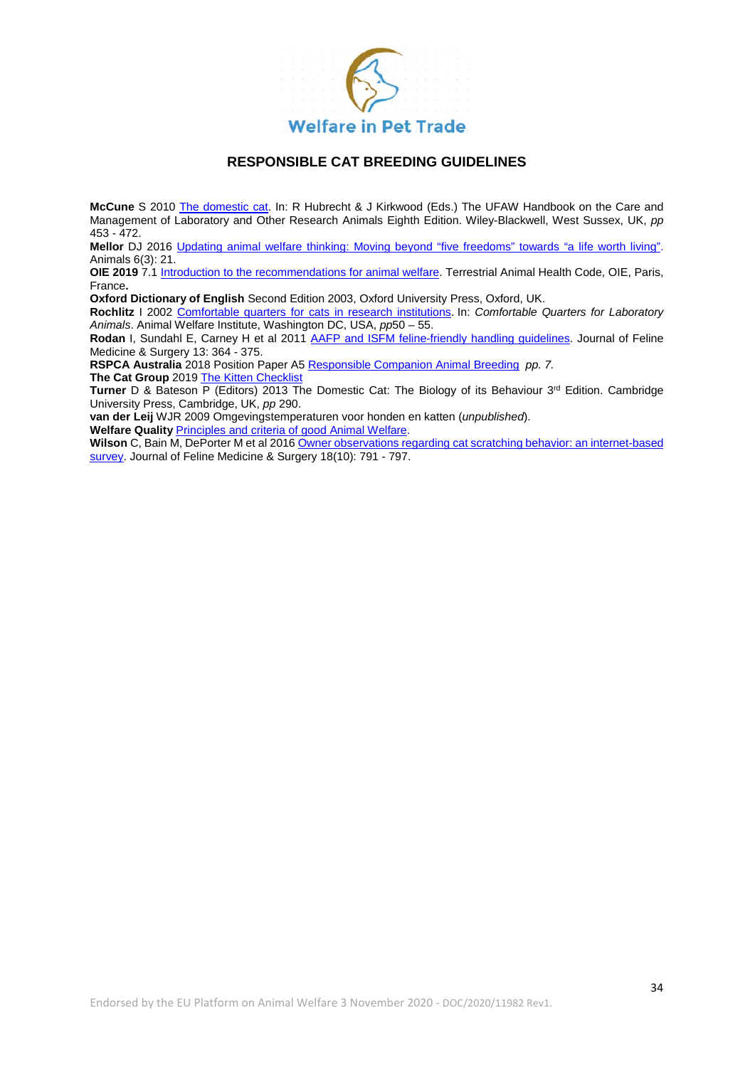

**McCune** S 2010 [The domestic](https://www.researchgate.net/publication/279405839_The_Domestic_Cat) cat. In: R Hubrecht & J Kirkwood (Eds.) The UFAW Handbook on the Care and Management of Laboratory and Other Research Animals Eighth Edition. Wiley-Blackwell, West Sussex, UK, *pp* 453 - 472.

**Mellor** DJ 2016 [Updating animal welfare thinking: Moving beyond "five freedoms" towards "a life worth living".](https://www.ncbi.nlm.nih.gov/pmc/articles/PMC4810049/) Animals 6(3): 21.

**OIE 2019** 7.[1 Introduction to the recommendations for animal welfare.](https://www.oie.int/fileadmin/Home/eng/Health_standards/tahc/current/chapitre_aw_introduction.pdf) Terrestrial Animal Health Code, OIE, Paris, France**.**

**Oxford Dictionary of English** Second Edition 2003, Oxford University Press, Oxford, UK.

**Rochlitz** I 2002 [Comfortable quarters for cats in research institutions.](http://ebooks.lib.ntu.edu.tw/1_file/AWI/96122405/10.htm) In: *Comfortable Quarters for Laboratory Animals*. Animal Welfare Institute, Washington DC, USA, *pp*50 – 55.

**Rodan** I, Sundahl E, Carney H et al 2011 [AAFP and ISFM feline-friendly handling guidelines.](https://journals.sagepub.com/doi/full/10.1016/j.jfms.2011.03.012) Journal of Feline Medicine & Surgery 13: 364 - 375.

**RSPCA Australia** 2018 Position Paper A5 [Responsible Companion Animal Breeding](https://kb.rspca.org.au/wp-content/uploads/2019/01/PP-A5-Responsible-companion-animal-breeding.pdf) *pp. 7.* **The Cat Group** 201[9 The Kitten Checklist](http://www.thecatgroup.org.uk/pdfs/The-Kitten-Checklist.pdf)

**Turner** D & Bateson P (Editors) 2013 The Domestic Cat: The Biology of its Behaviour 3<sup>rd</sup> Edition. Cambridge University Press, Cambridge, UK, *pp* 290.

**van der Leij** WJR 2009 Omgevingstemperaturen voor honden en katten (*unpublished*).

**Welfare Quality** [Principles and criteria of good Animal Welfare.](http://www.welfarequality.net/media/1084/wq___factsheet_10_07_eng2.pdf)

**Wilson** C, Bain M, DePorter M et al 2016 [Owner observations regarding cat scratching behavior: an internet-based](https://journals.sagepub.com/doi/full/10.1177/1098612X15594414?url_ver=Z39.88-2003&rfr_id=ori:rid:crossref.org&rfr_dat=cr_pub%3dpubmed)  [survey.](https://journals.sagepub.com/doi/full/10.1177/1098612X15594414?url_ver=Z39.88-2003&rfr_id=ori:rid:crossref.org&rfr_dat=cr_pub%3dpubmed) Journal of Feline Medicine & Surgery 18(10): 791 - 797.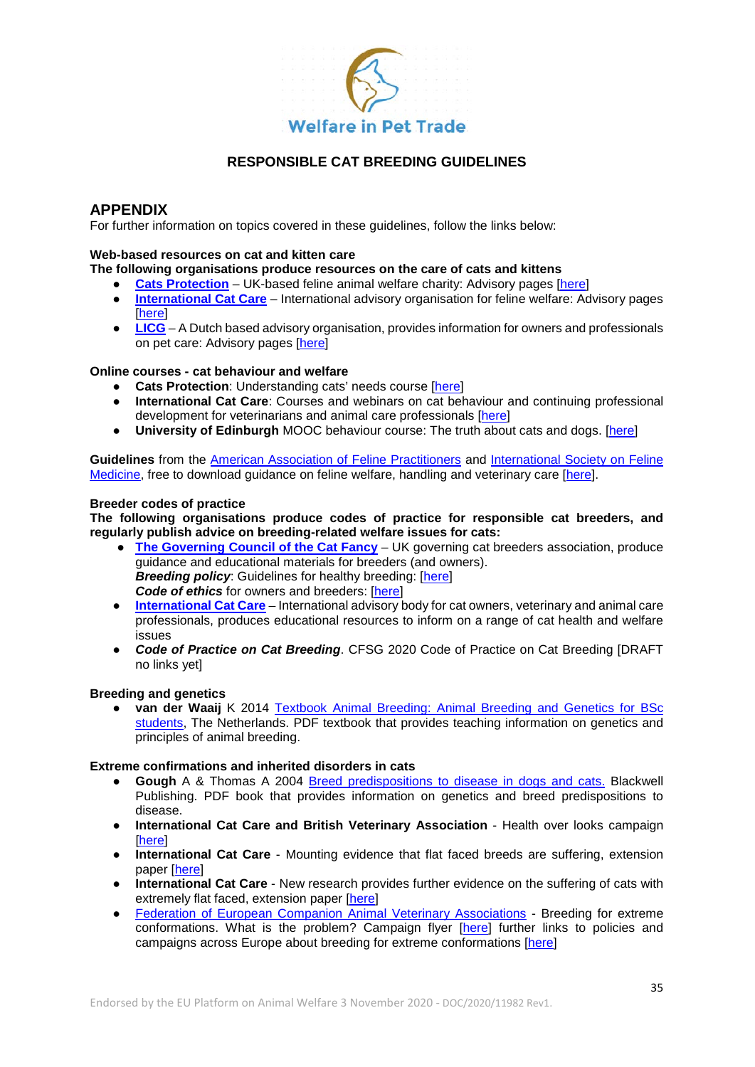

# **APPENDIX**

For further information on topics covered in these guidelines, follow the links below:

#### **Web-based resources on cat and kitten care**

### **The following organisations produce resources on the care of cats and kittens**

- **[Cats Protection](https://www.cats.org.uk/)** UK-based feline animal welfare charity: Advisory pages [\[here\]](https://www.cats.org.uk/help-and-advice)<br> **International Cat Care** International advisory organisation for feline welfare: Advisory
- **[International Cat Care](https://icatcare.org/about/)** International advisory organisation for feline welfare: Advisory pages [\[here\]](https://icatcare.org/advice/?per_page=12)
- **[LICG](https://www.licg.nl/)** A Dutch based advisory organisation, provides information for owners and professionals on pet care: Advisory pages [\[here\]](https://www.licg.nl/katten/)

### **Online courses - cat behaviour and welfare**

- **Cats Protection**: Understanding cats' needs course [\[here\]](https://www.cats.org.uk/help-and-advice/online-learning)
- **International Cat Care**: Courses and webinars on cat behaviour and continuing professional development for veterinarians and animal care professionals [\[here\]](https://icatcare.org/education/)
- **University of Edinburgh** MOOC behaviour course: The truth about cats and dogs. [\[here\]](https://www.ed.ac.uk/studying/online-learning/free-short-courses/subjects/medicine-vet/cats-and-dogs-mooc)

**Guidelines** from the [American Association of Feline Practitioners](https://catvets.com/) and [International Society on Feline](https://icatcare.org/veterinary/isfm/)  [Medicine,](https://icatcare.org/veterinary/isfm/) free to download guidance on feline welfare, handling and veterinary care [\[here\]](https://journals.sagepub.com/page/jfm/collections/guidelines/index).

#### **Breeder codes of practice**

**The following organisations produce codes of practice for responsible cat breeders, and regularly publish advice on breeding-related welfare issues for cats:**

- **[The Governing Council of the Cat Fancy](https://www.gccfcats.org/Portals/0/BreedingPolicy.2015.pdf)** UK governing cat breeders association, produce guidance and educational materials for breeders (and owners). *Breeding policy:* Guidelines for healthy breeding: [\[here\]](https://www.gccfcats.org/Portals/0/BreedingPolicy.2015.pdf) **Code of ethics** for owners and breeders: [\[here\]](about:blank)
- **[International Cat Care](https://icatcare.org/advice/how-to-choose-use-a-scratching-post-for-your-cat/)** International advisory body for cat owners, veterinary and animal care professionals, produces educational resources to inform on a range of cat health and welfare issues
- *Code of Practice on Cat Breeding*. CFSG 2020 Code of Practice on Cat Breeding [DRAFT no links yet]

#### **Breeding and genetics**

**van der Waaij** K 2014 Textbook Animal Breeding: Animal Breeding and Genetics for BSc [students,](https://www.wur.nl/upload_mm/d/b/b/614bcc19-036f-434e-9d40-609364ab26da_Textbook%20Animal%20Breeding%20and%20Genetics-v17-20151122_1057.pdf) The Netherlands. PDF textbook that provides teaching information on genetics and principles of animal breeding.

#### **Extreme confirmations and inherited disorders in cats**

- **Gough** A & Thomas A 2004 [Breed predispositions to disease in dogs and cats.](https://onlinelibrary.wiley.com/doi/book/10.1002/9780470690802) Blackwell Publishing. PDF book that provides information on genetics and breed predispositions to disease.
- **International Cat Care and British Veterinary Association** Health over looks campaign [\[here\]](https://icatcare.org/our-campaigns/health-over-looks-campaign/)
- **International Cat Care** Mounting evidence that flat faced breeds are suffering, extension paper [\[here\]](https://indd.adobe.com/view/24f2cb88-359b-42cc-875c-3b75086eb4fe)
- **International Cat Care** New research provides further evidence on the suffering of cats with extremely flat faced, extension paper [\[here\]](https://indd.adobe.com/view/dd968042-bc07-47a3-89e7-249811ed0095)
- [Federation of European Companion Animal Veterinary Associations](https://www.fecava.org/wp-content/uploads/2019/03/FLYER_Extreme-breeding_RVau21_06_18_BAT.pdf) Breeding for extreme conformations. What is the problem? Campaign flyer [\[here\]](https://www.fecava.org/wp-content/uploads/2019/03/FLYER_Extreme-breeding_RVau21_06_18_BAT.pdf) further links to policies and campaigns across Europe about breeding for extreme conformations [\[here\]](https://www.fecava.org/policies-actions/healthy-breeding-3/)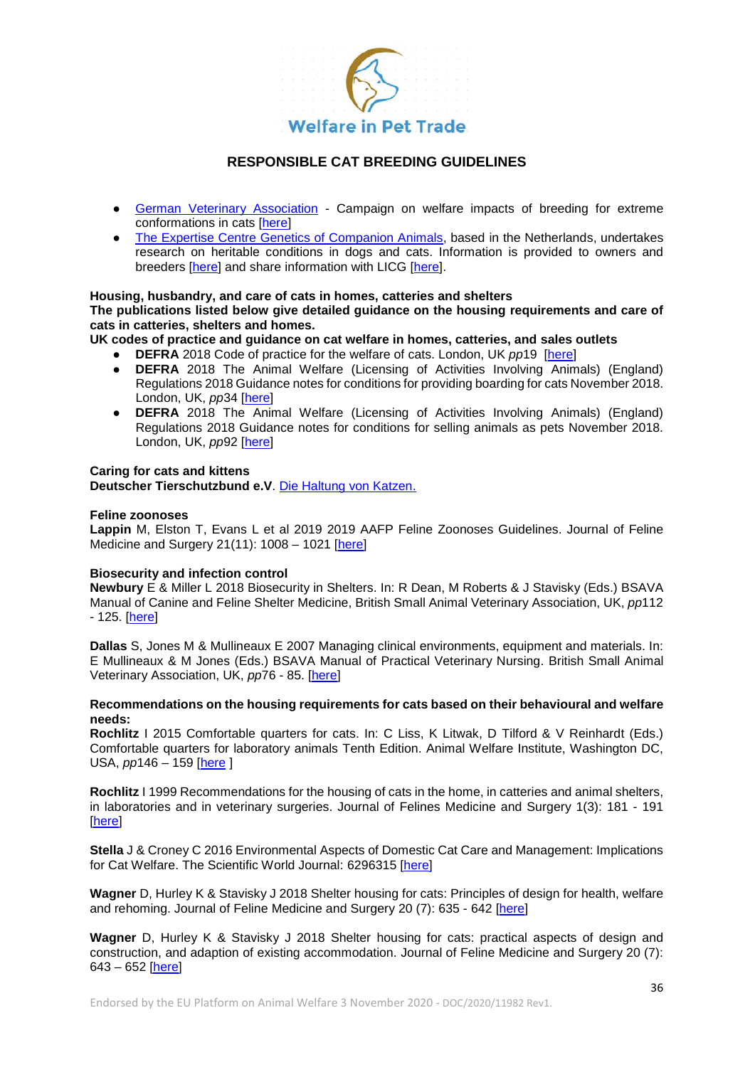

- [German Veterinary Association](https://www.wir-sind-tierarzt.de/) Campaign on welfare impacts of breeding for extreme conformations in cats [\[here\]](https://www.wir-sind-tierarzt.de/2019/10/neuer-btk-flyer-qualzucht-bei-katzen/)
- [The Expertise Centre Genetics of Companion Animals,](https://www.uu.nl/en/organisation/veterinary-service-and-cooperation/patientcare-uvcu/companion-animals-genetics-expertise-centre) based in the Netherlands, undertakes research on heritable conditions in dogs and cats. Information is provided to owners and breeders [\[here\]](https://www.diergeneeskunde.nl/klinieken/expertisecentrum-genetica-gezelschapsdieren/) and share information with LICG [\[here\]](https://www.licg.nl/).

### **Housing, husbandry, and care of cats in homes, catteries and shelters**

**The publications listed below give detailed guidance on the housing requirements and care of cats in catteries, shelters and homes.**

**UK codes of practice and guidance on cat welfare in homes, catteries, and sales outlets**

- **DEFRA** 2018 Code of practice for the welfare of cats. London, UK *pp*19 [\[here\]](https://www.gov.uk/government/publications/code-of-practice-for-the-welfare-of-cats)<br>● DEFRA 2018 The Animal Welfare (Licensing of Activities Involving Anim
- **DEFRA** 2018 The Animal Welfare (Licensing of Activities Involving Animals) (England) Regulations 2018 Guidance notes for conditions for providing boarding for cats November 2018. London, UK, pp34 [\[here\]](https://assets.publishing.service.gov.uk/government/uploads/system/uploads/attachment_data/file/762411/animal-welfare-licensing-boarding-for-cats-guidance.pdf)
- **DEFRA** 2018 The Animal Welfare (Licensing of Activities Involving Animals) (England) Regulations 2018 Guidance notes for conditions for selling animals as pets November 2018. London, UK, *pp*92 [\[here\]](https://assets.publishing.service.gov.uk/government/uploads/system/uploads/attachment_data/file/762433/animal-welfare-licensing-selling-animals-as-pets-guidance.pdf)

### **Caring for cats and kittens**

**Deutscher Tierschutzbund e.V**. [Die Haltung von Katzen.](https://www.tierschutzbund.de/fileadmin/user_upload/Downloads/Broschueren/Die_Haltung_von_Katzen.pdf)

#### **Feline zoonoses**

**Lappin** M, Elston T, Evans L et al 2019 2019 AAFP Feline Zoonoses Guidelines. Journal of Feline Medicine and Surgery 21(11): 1008 – 1021 [\[here\]](https://journals.sagepub.com/doi/pdf/10.1177/1098612X19880436)

### **Biosecurity and infection control**

**Newbury** E & Miller L 2018 Biosecurity in Shelters. In: R Dean, M Roberts & J Stavisky (Eds.) BSAVA Manual of Canine and Feline Shelter Medicine, British Small Animal Veterinary Association, UK, *pp*112 - 125. [\[here\]](https://www.bsavalibrary.com/content/book/10.22233/9781910443330)

**Dallas** S, Jones M & Mullineaux E 2007 Managing clinical environments, equipment and materials. In: E Mullineaux & M Jones (Eds.) BSAVA Manual of Practical Veterinary Nursing. British Small Animal Veterinary Association, UK, *pp*76 - 85. [\[here\]](https://www.bsavalibrary.com/content/book/10.22233/9781910443064)

#### **Recommendations on the housing requirements for cats based on their behavioural and welfare needs:**

**Rochlitz** I 2015 Comfortable quarters for cats. In: C Liss, K Litwak, D Tilford & V Reinhardt (Eds.) Comfortable quarters for laboratory animals Tenth Edition. Animal Welfare Institute, Washington DC, USA, *pp*146 – 159 [\[here](https://awionline.org/sites/default/files/publication/digital_download/AWI-ComfortableQuarters-2015.pdf) ]

**Rochlitz** I 1999 Recommendations for the housing of cats in the home, in catteries and animal shelters, in laboratories and in veterinary surgeries. Journal of Felines Medicine and Surgery 1(3): 181 - 191 [\[here\]](https://journals.sagepub.com/doi/full/10.1016/S1098-612X%2899%2990207-3)

**Stella** J & Croney C 2016 Environmental Aspects of Domestic Cat Care and Management: Implications for Cat Welfare. The Scientific World Journal: 6296315 [\[here\]](http://downloads.hindawi.com/journals/tswj/2016/6296315.pdf)

**Wagner** D, Hurley K & Stavisky J 2018 Shelter housing for cats: Principles of design for health, welfare and rehoming. Journal of Feline Medicine and Surgery 20 (7): 635 - 642 [\[here\]](https://journals.sagepub.com/doi/full/10.1177/1098612X18781388)

**Wagner** D, Hurley K & Stavisky J 2018 Shelter housing for cats: practical aspects of design and construction, and adaption of existing accommodation. Journal of Feline Medicine and Surgery 20 (7): 643 – 652 [\[here\]](https://journals.sagepub.com/doi/full/10.1177/1098612X18781390)